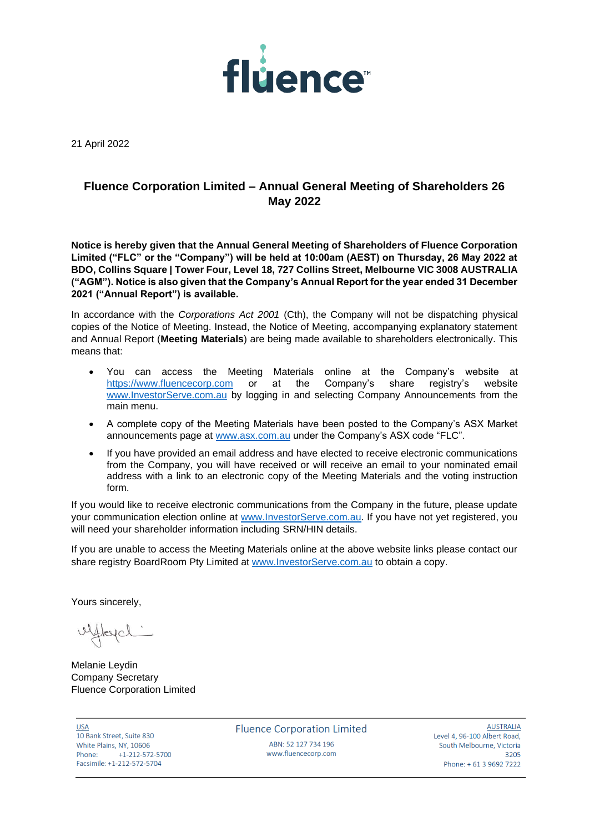

21 April 2022

### **Fluence Corporation Limited – Annual General Meeting of Shareholders 26 May 2022**

**Notice is hereby given that the Annual General Meeting of Shareholders of Fluence Corporation Limited ("FLC" or the "Company") will be held at 10:00am (AEST) on Thursday, 26 May 2022 at BDO, Collins Square | Tower Four, Level 18, 727 Collins Street, Melbourne VIC 3008 AUSTRALIA ("AGM"). Notice is also given that the Company's Annual Report for the year ended 31 December 2021 ("Annual Report") is available.**

In accordance with the *Corporations Act 2001* (Cth), the Company will not be dispatching physical copies of the Notice of Meeting. Instead, the Notice of Meeting, accompanying explanatory statement and Annual Report (**Meeting Materials**) are being made available to shareholders electronically. This means that:

- You can access the Meeting Materials online at the Company's website at https://www.fluencecorp.com or at the Company's share registry's website [https://www.fluencecorp.com](https://www.fluencecorp.com/) or at the Company's share registry's website [www.InvestorServe.com.au](http://www.investorserve.com.au/) by logging in and selecting Company Announcements from the main menu.
- A complete copy of the Meeting Materials have been posted to the Company's ASX Market announcements page at [www.asx.com.au](http://www.asx.com.au/) under the Company's ASX code "FLC".
- If you have provided an email address and have elected to receive electronic communications from the Company, you will have received or will receive an email to your nominated email address with a link to an electronic copy of the Meeting Materials and the voting instruction form.

If you would like to receive electronic communications from the Company in the future, please update your communication election online at [www.InvestorServe.com.au.](http://www.investorserve.com.au/) If you have not yet registered, you will need your shareholder information including SRN/HIN details.

If you are unable to access the Meeting Materials online at the above website links please contact our share registry BoardRoom Pty Limited at [www.InvestorServe.com.au](http://www.investorserve.com.au/) to obtain a copy.

Yours sincerely,

ulfreyal

Melanie Leydin Company Secretary Fluence Corporation Limited

**USA** 10 Bank Street, Suite 830 White Plains, NY, 10606 +1-212-572-5700 Phone: Facsimile: +1-212-572-5704

**Fluence Corporation Limited** 

ABN: 52 127 734 196 www.fluencecorp.com

**AUSTRALIA** Level 4, 96-100 Albert Road, South Melbourne, Victoria 3205 Phone: + 61 3 9692 7222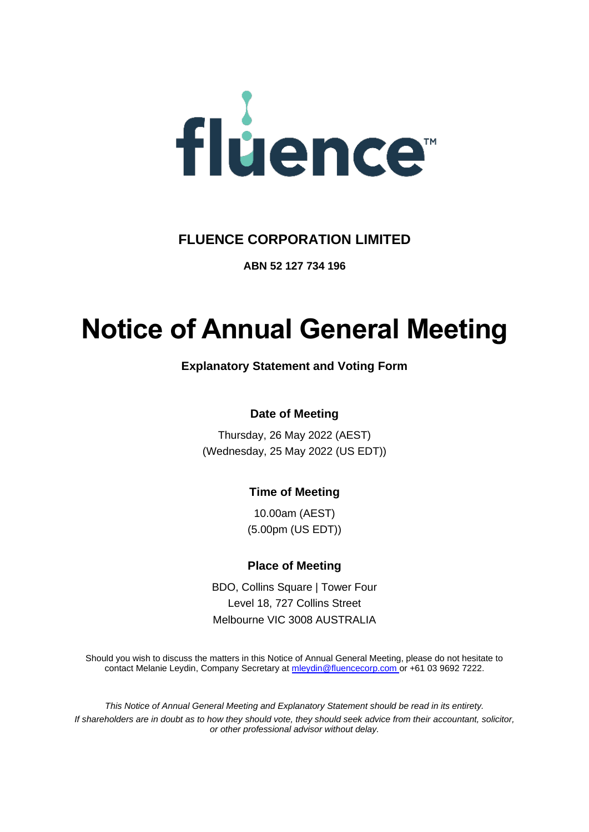

### **FLUENCE CORPORATION LIMITED**

**ABN 52 127 734 196**

# **Notice of Annual General Meeting**

### **Explanatory Statement and Voting Form**

### **Date of Meeting**

Thursday, 26 May 2022 (AEST) (Wednesday, 25 May 2022 (US EDT))

### **Time of Meeting**

10.00am (AEST) (5.00pm (US EDT))

### **Place of Meeting**

BDO, Collins Square | Tower Four Level 18, 727 Collins Street Melbourne VIC 3008 AUSTRALIA

Should you wish to discuss the matters in this Notice of Annual General Meeting, please do not hesitate to contact Melanie Leydin, Company Secretary at [mleydin@fluencecorp.com o](mailto:mleydin@fluencecorp.com)r +61 03 9692 7222.

*This Notice of Annual General Meeting and Explanatory Statement should be read in its entirety. If shareholders are in doubt as to how they should vote, they should seek advice from their accountant, solicitor, or other professional advisor without delay.*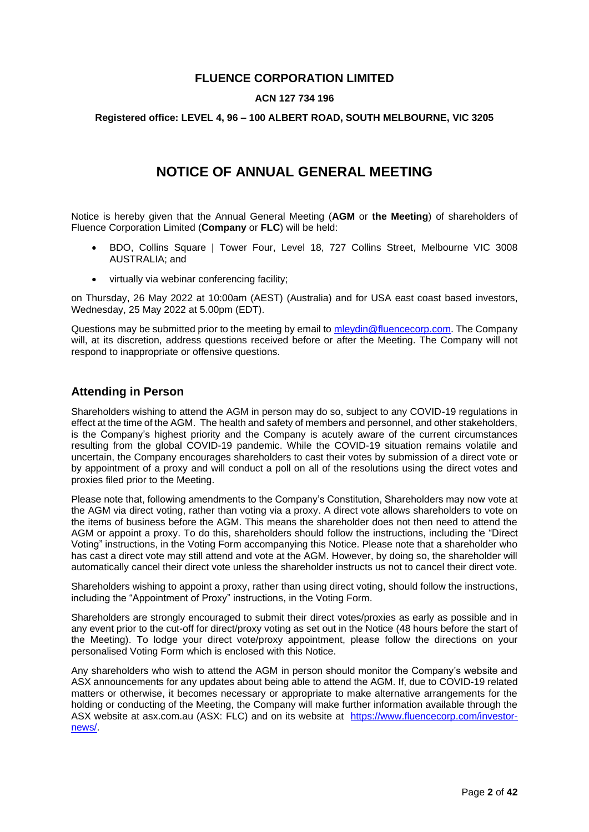### **FLUENCE CORPORATION LIMITED**

### **ACN 127 734 196**

#### **Registered office: LEVEL 4, 96 – 100 ALBERT ROAD, SOUTH MELBOURNE, VIC 3205**

### **NOTICE OF ANNUAL GENERAL MEETING**

Notice is hereby given that the Annual General Meeting (**AGM** or **the Meeting**) of shareholders of Fluence Corporation Limited (**Company** or **FLC**) will be held:

- BDO, Collins Square | Tower Four, Level 18, 727 Collins Street, Melbourne VIC 3008 AUSTRALIA; and
- virtually via webinar conferencing facility;

on Thursday, 26 May 2022 at 10:00am (AEST) (Australia) and for USA east coast based investors, Wednesday, 25 May 2022 at 5.00pm (EDT).

Questions may be submitted prior to the meeting by email to [mleydin@fluencecorp.com.](mailto:mleydin@fluencecorp.com) The Company will, at its discretion, address questions received before or after the Meeting. The Company will not respond to inappropriate or offensive questions.

### **Attending in Person**

Shareholders wishing to attend the AGM in person may do so, subject to any COVID-19 regulations in effect at the time of the AGM. The health and safety of members and personnel, and other stakeholders, is the Company's highest priority and the Company is acutely aware of the current circumstances resulting from the global COVID-19 pandemic. While the COVID-19 situation remains volatile and uncertain, the Company encourages shareholders to cast their votes by submission of a direct vote or by appointment of a proxy and will conduct a poll on all of the resolutions using the direct votes and proxies filed prior to the Meeting.

Please note that, following amendments to the Company's Constitution, Shareholders may now vote at the AGM via direct voting, rather than voting via a proxy. A direct vote allows shareholders to vote on the items of business before the AGM. This means the shareholder does not then need to attend the AGM or appoint a proxy. To do this, shareholders should follow the instructions, including the "Direct Voting" instructions, in the Voting Form accompanying this Notice. Please note that a shareholder who has cast a direct vote may still attend and vote at the AGM. However, by doing so, the shareholder will automatically cancel their direct vote unless the shareholder instructs us not to cancel their direct vote.

Shareholders wishing to appoint a proxy, rather than using direct voting, should follow the instructions, including the "Appointment of Proxy" instructions, in the Voting Form.

Shareholders are strongly encouraged to submit their direct votes/proxies as early as possible and in any event prior to the cut-off for direct/proxy voting as set out in the Notice (48 hours before the start of the Meeting). To lodge your direct vote/proxy appointment, please follow the directions on your personalised Voting Form which is enclosed with this Notice.

Any shareholders who wish to attend the AGM in person should monitor the Company's website and ASX announcements for any updates about being able to attend the AGM. If, due to COVID-19 related matters or otherwise, it becomes necessary or appropriate to make alternative arrangements for the holding or conducting of the Meeting, the Company will make further information available through the ASX website at asx.com.au (ASX: FLC) and on its website at [https://www.fluencecorp.com/investor](https://www.fluencecorp.com/investor-news/)[news/.](https://www.fluencecorp.com/investor-news/)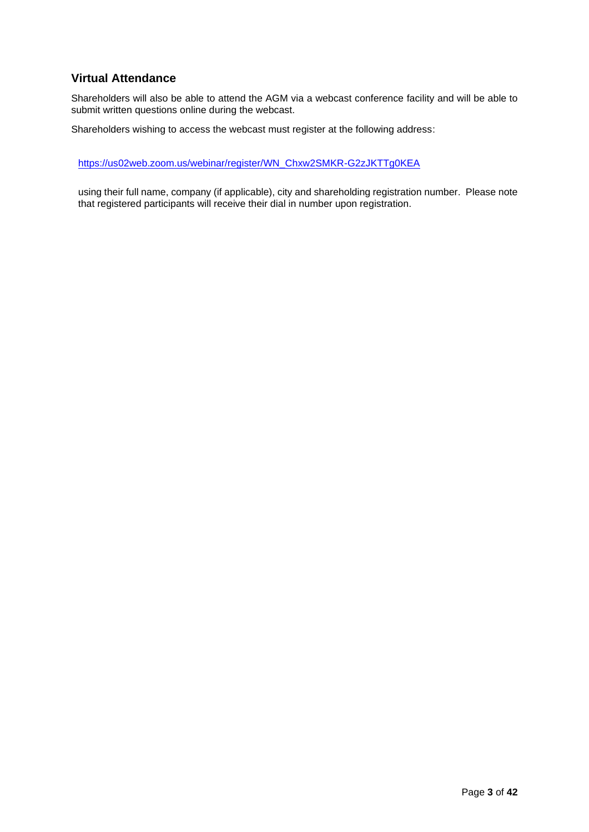### **Virtual Attendance**

Shareholders will also be able to attend the AGM via a webcast conference facility and will be able to submit written questions online during the webcast.

Shareholders wishing to access the webcast must register at the following address:

[https://us02web.zoom.us/webinar/register/WN\\_Chxw2SMKR-G2zJKTTg0KEA](https://us02web.zoom.us/webinar/register/WN_Chxw2SMKR-G2zJKTTg0KEA)

using their full name, company (if applicable), city and shareholding registration number. Please note that registered participants will receive their dial in number upon registration.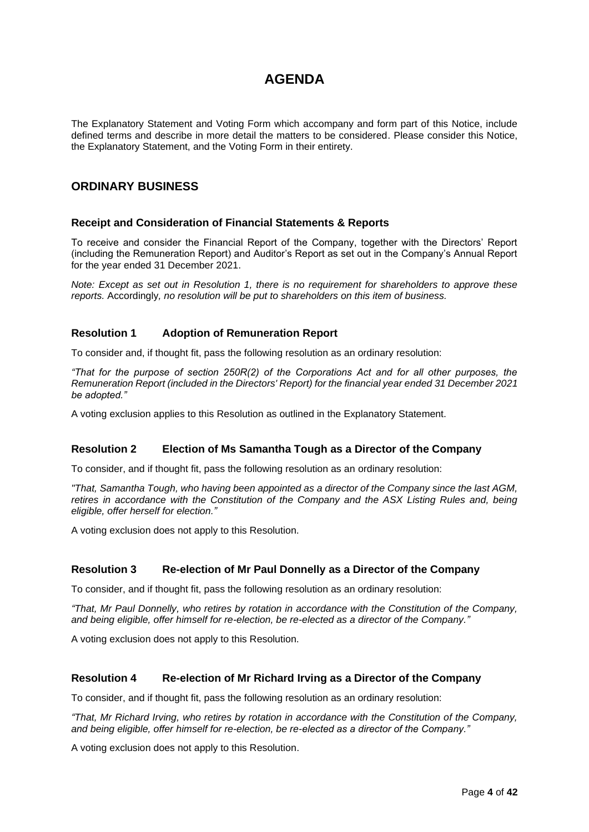## **AGENDA**

The Explanatory Statement and Voting Form which accompany and form part of this Notice, include defined terms and describe in more detail the matters to be considered. Please consider this Notice, the Explanatory Statement, and the Voting Form in their entirety.

### **ORDINARY BUSINESS**

#### **Receipt and Consideration of Financial Statements & Reports**

To receive and consider the Financial Report of the Company, together with the Directors' Report (including the Remuneration Report) and Auditor's Report as set out in the Company's Annual Report for the year ended 31 December 2021.

*Note: Except as set out in Resolution 1, there is no requirement for shareholders to approve these reports.* Accordingly*, no resolution will be put to shareholders on this item of business.*

### <span id="page-4-0"></span>**Resolution 1 Adoption of Remuneration Report**

To consider and, if thought fit, pass the following resolution as an ordinary resolution:

*"That for the purpose of section 250R(2) of the Corporations Act and for all other purposes, the Remuneration Report (included in the Directors' Report) for the financial year ended 31 December 2021 be adopted."*

A voting exclusion applies to this Resolution as outlined in the Explanatory Statement.

### <span id="page-4-1"></span>**Resolution 2 Election of Ms Samantha Tough as a Director of the Company**

To consider, and if thought fit, pass the following resolution as an ordinary resolution:

*"That, Samantha Tough, who having been appointed as a director of the Company since the last AGM, retires in accordance with the Constitution of the Company and the ASX Listing Rules and, being eligible, offer herself for election."*

A voting exclusion does not apply to this Resolution.

### <span id="page-4-2"></span>**Resolution 3 Re-election of Mr Paul Donnelly as a Director of the Company**

To consider, and if thought fit, pass the following resolution as an ordinary resolution:

*"That, Mr Paul Donnelly, who retires by rotation in accordance with the Constitution of the Company, and being eligible, offer himself for re-election, be re-elected as a director of the Company."*

A voting exclusion does not apply to this Resolution.

#### <span id="page-4-3"></span>**Resolution 4 Re-election of Mr Richard Irving as a Director of the Company**

To consider, and if thought fit, pass the following resolution as an ordinary resolution:

*"That, Mr Richard Irving, who retires by rotation in accordance with the Constitution of the Company, and being eligible, offer himself for re-election, be re-elected as a director of the Company."*

A voting exclusion does not apply to this Resolution.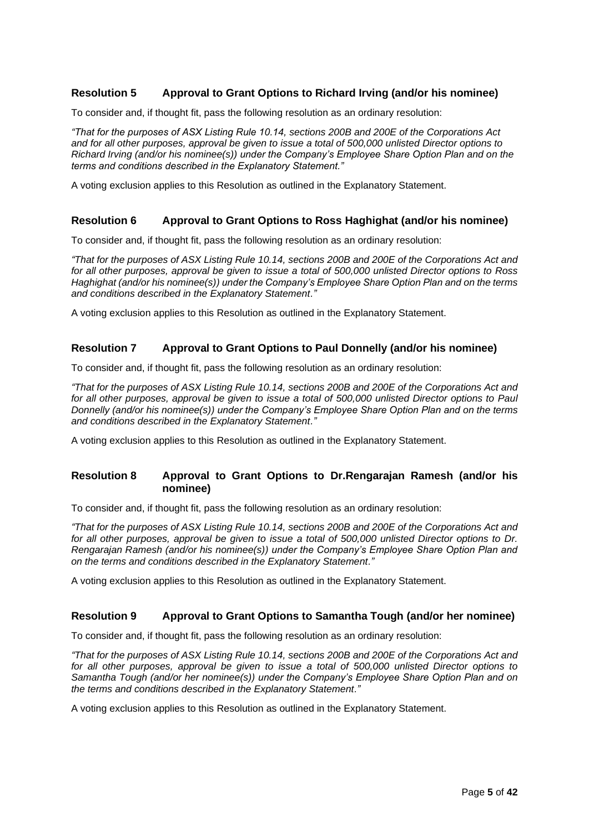### **Resolution 5 Approval to Grant Options to Richard Irving (and/or his nominee)**

To consider and, if thought fit, pass the following resolution as an ordinary resolution:

*"That for the purposes of ASX Listing Rule 10.14, sections 200B and 200E of the Corporations Act and for all other purposes, approval be given to issue a total of 500,000 unlisted Director options to Richard Irving (and/or his nominee(s)) under the Company's Employee Share Option Plan and on the terms and conditions described in the Explanatory Statement."*

A voting exclusion applies to this Resolution as outlined in the Explanatory Statement.

#### **Resolution 6 Approval to Grant Options to Ross Haghighat (and/or his nominee)**

To consider and, if thought fit, pass the following resolution as an ordinary resolution:

*"That for the purposes of ASX Listing Rule 10.14, sections 200B and 200E of the Corporations Act and for all other purposes, approval be given to issue a total of 500,000 unlisted Director options to Ross Haghighat (and/or his nominee(s)) under the Company's Employee Share Option Plan and on the terms and conditions described in the Explanatory Statement."*

A voting exclusion applies to this Resolution as outlined in the Explanatory Statement.

#### **Resolution 7 Approval to Grant Options to Paul Donnelly (and/or his nominee)**

To consider and, if thought fit, pass the following resolution as an ordinary resolution:

*"That for the purposes of ASX Listing Rule 10.14, sections 200B and 200E of the Corporations Act and for all other purposes, approval be given to issue a total of 500,000 unlisted Director options to Paul Donnelly (and/or his nominee(s)) under the Company's Employee Share Option Plan and on the terms and conditions described in the Explanatory Statement."*

A voting exclusion applies to this Resolution as outlined in the Explanatory Statement.

### **Resolution 8 Approval to Grant Options to Dr.Rengarajan Ramesh (and/or his nominee)**

To consider and, if thought fit, pass the following resolution as an ordinary resolution:

*"That for the purposes of ASX Listing Rule 10.14, sections 200B and 200E of the Corporations Act and for all other purposes, approval be given to issue a total of 500,000 unlisted Director options to Dr. Rengarajan Ramesh (and/or his nominee(s)) under the Company's Employee Share Option Plan and on the terms and conditions described in the Explanatory Statement."*

A voting exclusion applies to this Resolution as outlined in the Explanatory Statement.

#### **Resolution 9 Approval to Grant Options to Samantha Tough (and/or her nominee)**

To consider and, if thought fit, pass the following resolution as an ordinary resolution:

*"That for the purposes of ASX Listing Rule 10.14, sections 200B and 200E of the Corporations Act and for all other purposes, approval be given to issue a total of 500,000 unlisted Director options to Samantha Tough (and/or her nominee(s)) under the Company's Employee Share Option Plan and on the terms and conditions described in the Explanatory Statement."*

A voting exclusion applies to this Resolution as outlined in the Explanatory Statement.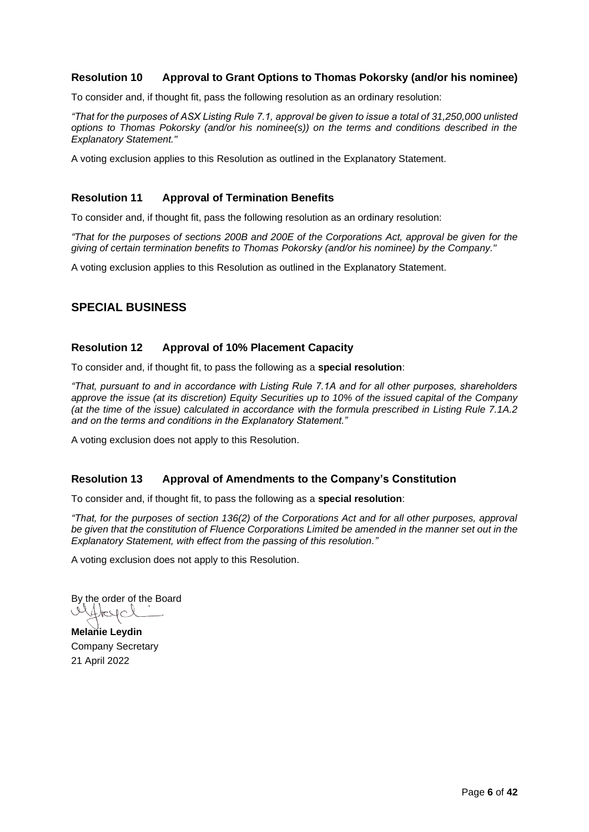### <span id="page-6-0"></span>**Resolution 10 Approval to Grant Options to Thomas Pokorsky (and/or his nominee)**

To consider and, if thought fit, pass the following resolution as an ordinary resolution:

*"That for the purposes of ASX Listing Rule 7.1, approval be given to issue a total of 31,250,000 unlisted options to Thomas Pokorsky (and/or his nominee(s)) on the terms and conditions described in the Explanatory Statement."*

A voting exclusion applies to this Resolution as outlined in the Explanatory Statement.

#### **Resolution 11 Approval of Termination Benefits**

To consider and, if thought fit, pass the following resolution as an ordinary resolution:

*"That for the purposes of sections 200B and 200E of the Corporations Act, approval be given for the giving of certain termination benefits to Thomas Pokorsky (and/or his nominee) by the Company."*

A voting exclusion applies to this Resolution as outlined in the Explanatory Statement.

### **SPECIAL BUSINESS**

#### <span id="page-6-1"></span>**Resolution 12 Approval of 10% Placement Capacity**

To consider and, if thought fit, to pass the following as a **special resolution**:

*"That, pursuant to and in accordance with Listing Rule 7.1A and for all other purposes, shareholders approve the issue (at its discretion) Equity Securities up to 10% of the issued capital of the Company (at the time of the issue) calculated in accordance with the formula prescribed in Listing Rule 7.1A.2 and on the terms and conditions in the Explanatory Statement."*

A voting exclusion does not apply to this Resolution.

#### <span id="page-6-2"></span>**Resolution 13 Approval of Amendments to the Company's Constitution**

To consider and, if thought fit, to pass the following as a **special resolution**:

*"That, for the purposes of section 136(2) of the Corporations Act and for all other purposes, approval be given that the constitution of Fluence Corporations Limited be amended in the manner set out in the Explanatory Statement, with effect from the passing of this resolution."*

A voting exclusion does not apply to this Resolution.

By the order of the Board Jessin

**Melanie Leydin** Company Secretary 21 April 2022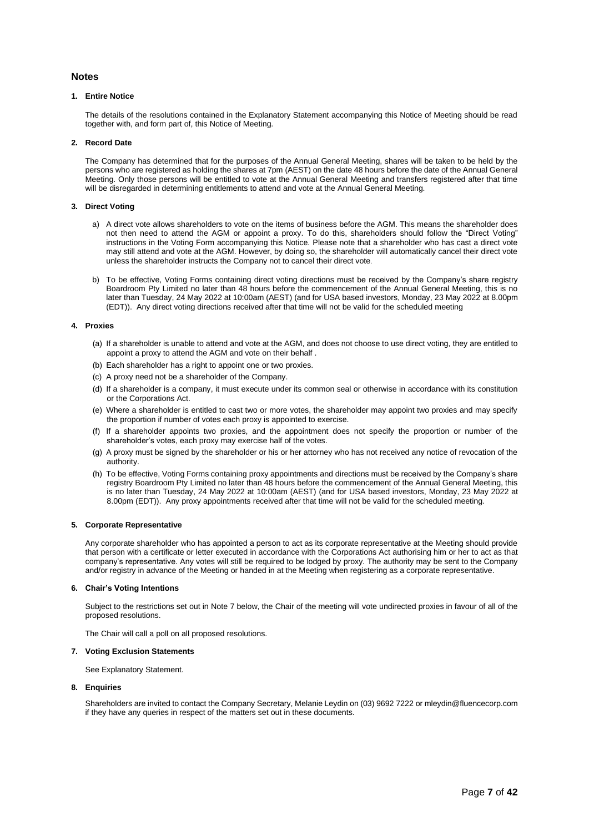#### **Notes**

#### **1. Entire Notice**

The details of the resolutions contained in the Explanatory Statement accompanying this Notice of Meeting should be read together with, and form part of, this Notice of Meeting.

#### **2. Record Date**

The Company has determined that for the purposes of the Annual General Meeting, shares will be taken to be held by the persons who are registered as holding the shares at 7pm (AEST) on the date 48 hours before the date of the Annual General Meeting. Only those persons will be entitled to vote at the Annual General Meeting and transfers registered after that time will be disregarded in determining entitlements to attend and vote at the Annual General Meeting.

#### **3. Direct Voting**

- a) A direct vote allows shareholders to vote on the items of business before the AGM. This means the shareholder does not then need to attend the AGM or appoint a proxy. To do this, shareholders should follow the "Direct Voting" instructions in the Voting Form accompanying this Notice. Please note that a shareholder who has cast a direct vote may still attend and vote at the AGM. However, by doing so, the shareholder will automatically cancel their direct vote unless the shareholder instructs the Company not to cancel their direct vote.
- b) To be effective, Voting Forms containing direct voting directions must be received by the Company's share registry Boardroom Pty Limited no later than 48 hours before the commencement of the Annual General Meeting, this is no later than Tuesday, 24 May 2022 at 10:00am (AEST) (and for USA based investors, Monday, 23 May 2022 at 8.00pm (EDT)). Any direct voting directions received after that time will not be valid for the scheduled meeting

#### **4. Proxies**

- (a) If a shareholder is unable to attend and vote at the AGM, and does not choose to use direct voting, they are entitled to appoint a proxy to attend the AGM and vote on their behalf .
- (b) Each shareholder has a right to appoint one or two proxies.
- (c) A proxy need not be a shareholder of the Company.
- (d) If a shareholder is a company, it must execute under its common seal or otherwise in accordance with its constitution or the Corporations Act.
- (e) Where a shareholder is entitled to cast two or more votes, the shareholder may appoint two proxies and may specify the proportion if number of votes each proxy is appointed to exercise.
- (f) If a shareholder appoints two proxies, and the appointment does not specify the proportion or number of the shareholder's votes, each proxy may exercise half of the votes.
- (g) A proxy must be signed by the shareholder or his or her attorney who has not received any notice of revocation of the authority.
- (h) To be effective, Voting Forms containing proxy appointments and directions must be received by the Company's share registry Boardroom Pty Limited no later than 48 hours before the commencement of the Annual General Meeting, this is no later than Tuesday, 24 May 2022 at 10:00am (AEST) (and for USA based investors, Monday, 23 May 2022 at 8.00pm (EDT)). Any proxy appointments received after that time will not be valid for the scheduled meeting.

#### **5. Corporate Representative**

Any corporate shareholder who has appointed a person to act as its corporate representative at the Meeting should provide that person with a certificate or letter executed in accordance with the Corporations Act authorising him or her to act as that company's representative. Any votes will still be required to be lodged by proxy. The authority may be sent to the Company and/or registry in advance of the Meeting or handed in at the Meeting when registering as a corporate representative.

#### **6. Chair's Voting Intentions**

Subject to the restrictions set out in Note 7 below, the Chair of the meeting will vote undirected proxies in favour of all of the proposed resolutions.

The Chair will call a poll on all proposed resolutions.

#### **7. Voting Exclusion Statements**

See Explanatory Statement.

#### **8. Enquiries**

Shareholders are invited to contact the Company Secretary, Melanie Leydin on (03) 9692 7222 or mleydin@fluencecorp.com if they have any queries in respect of the matters set out in these documents.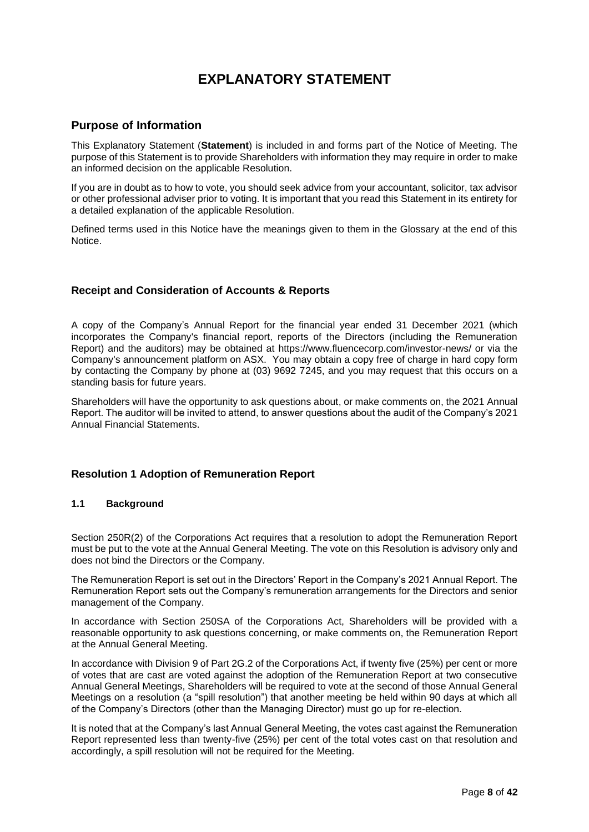## **EXPLANATORY STATEMENT**

### **Purpose of Information**

This Explanatory Statement (**Statement**) is included in and forms part of the Notice of Meeting. The purpose of this Statement is to provide Shareholders with information they may require in order to make an informed decision on the applicable Resolution.

If you are in doubt as to how to vote, you should seek advice from your accountant, solicitor, tax advisor or other professional adviser prior to voting. It is important that you read this Statement in its entirety for a detailed explanation of the applicable Resolution.

Defined terms used in this Notice have the meanings given to them in the Glossary at the end of this Notice.

### **Receipt and Consideration of Accounts & Reports**

A copy of the Company's Annual Report for the financial year ended 31 December 2021 (which incorporates the Company's financial report, reports of the Directors (including the Remuneration Report) and the auditors) may be obtained at https://www.fluencecorp.com/investor-news/ or via the Company's announcement platform on ASX. You may obtain a copy free of charge in hard copy form by contacting the Company by phone at (03) 9692 7245, and you may request that this occurs on a standing basis for future years.

Shareholders will have the opportunity to ask questions about, or make comments on, the 2021 Annual Report. The auditor will be invited to attend, to answer questions about the audit of the Company's 2021 Annual Financial Statements.

### **[Resolution 1](#page-4-0) Adoption of Remuneration Report**

### **1.1 Background**

Section 250R(2) of the Corporations Act requires that a resolution to adopt the Remuneration Report must be put to the vote at the Annual General Meeting. The vote on this Resolution is advisory only and does not bind the Directors or the Company.

The Remuneration Report is set out in the Directors' Report in the Company's 2021 Annual Report. The Remuneration Report sets out the Company's remuneration arrangements for the Directors and senior management of the Company.

In accordance with Section 250SA of the Corporations Act, Shareholders will be provided with a reasonable opportunity to ask questions concerning, or make comments on, the Remuneration Report at the Annual General Meeting.

In accordance with Division 9 of Part 2G.2 of the Corporations Act, if twenty five (25%) per cent or more of votes that are cast are voted against the adoption of the Remuneration Report at two consecutive Annual General Meetings, Shareholders will be required to vote at the second of those Annual General Meetings on a resolution (a "spill resolution") that another meeting be held within 90 days at which all of the Company's Directors (other than the Managing Director) must go up for re-election.

It is noted that at the Company's last Annual General Meeting, the votes cast against the Remuneration Report represented less than twenty-five (25%) per cent of the total votes cast on that resolution and accordingly, a spill resolution will not be required for the Meeting.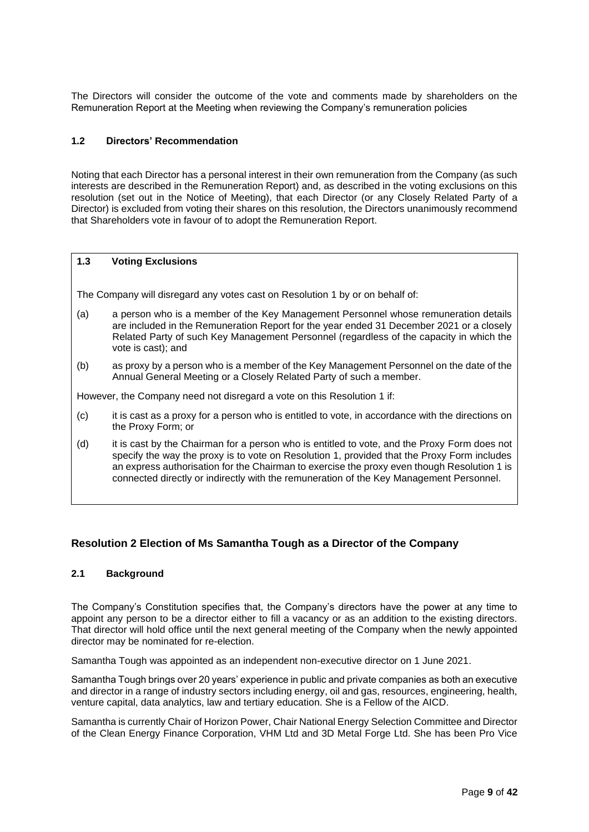The Directors will consider the outcome of the vote and comments made by shareholders on the Remuneration Report at the Meeting when reviewing the Company's remuneration policies

### **1.2 Directors' Recommendation**

Noting that each Director has a personal interest in their own remuneration from the Company (as such interests are described in the Remuneration Report) and, as described in the voting exclusions on this resolution (set out in the Notice of Meeting), that each Director (or any Closely Related Party of a Director) is excluded from voting their shares on this resolution, the Directors unanimously recommend that Shareholders vote in favour of to adopt the Remuneration Report.

#### **1.3 Voting Exclusions**

The Company will disregard any votes cast on Resolution 1 by or on behalf of:

- (a) a person who is a member of the Key Management Personnel whose remuneration details are included in the Remuneration Report for the year ended 31 December 2021 or a closely Related Party of such Key Management Personnel (regardless of the capacity in which the vote is cast); and
- (b) as proxy by a person who is a member of the Key Management Personnel on the date of the Annual General Meeting or a Closely Related Party of such a member.

However, the Company need not disregard a vote on this Resolution 1 if:

- (c) it is cast as a proxy for a person who is entitled to vote, in accordance with the directions on the Proxy Form; or
- (d) it is cast by the Chairman for a person who is entitled to vote, and the Proxy Form does not specify the way the proxy is to vote on Resolution 1, provided that the Proxy Form includes an express authorisation for the Chairman to exercise the proxy even though Resolution 1 is connected directly or indirectly with the remuneration of the Key Management Personnel.

### **[Resolution 2](#page-4-1) [Election of Ms Samantha Tough as a Director of the Company](#page-4-1)**

#### **2.1 Background**

The Company's Constitution specifies that, the Company's directors have the power at any time to appoint any person to be a director either to fill a vacancy or as an addition to the existing directors. That director will hold office until the next general meeting of the Company when the newly appointed director may be nominated for re-election.

Samantha Tough was appointed as an independent non-executive director on 1 June 2021.

Samantha Tough brings over 20 years' experience in public and private companies as both an executive and director in a range of industry sectors including energy, oil and gas, resources, engineering, health, venture capital, data analytics, law and tertiary education. She is a Fellow of the AICD.

Samantha is currently Chair of Horizon Power, Chair National Energy Selection Committee and Director of the Clean Energy Finance Corporation, VHM Ltd and 3D Metal Forge Ltd. She has been Pro Vice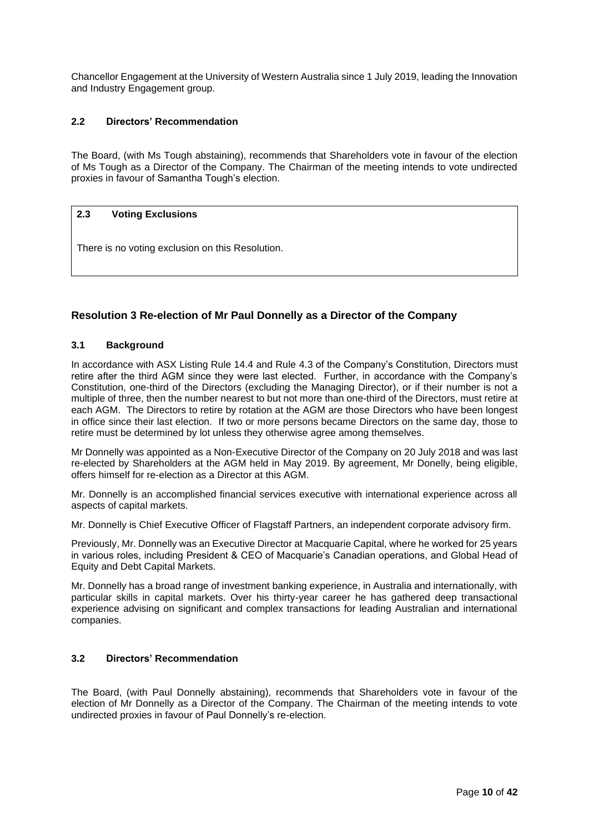Chancellor Engagement at the University of Western Australia since 1 July 2019, leading the Innovation and Industry Engagement group.

### **2.2 Directors' Recommendation**

The Board, (with Ms Tough abstaining), recommends that Shareholders vote in favour of the election of Ms Tough as a Director of the Company. The Chairman of the meeting intends to vote undirected proxies in favour of Samantha Tough's election.

#### **2.3 Voting Exclusions**

There is no voting exclusion on this Resolution.

### **[Resolution 3](#page-4-2) [Re-election of Mr Paul Donnelly](#page-4-2) as a Director of the Company**

#### **3.1 Background**

In accordance with ASX Listing Rule 14.4 and Rule 4.3 of the Company's Constitution, Directors must retire after the third AGM since they were last elected. Further, in accordance with the Company's Constitution, one-third of the Directors (excluding the Managing Director), or if their number is not a multiple of three, then the number nearest to but not more than one-third of the Directors, must retire at each AGM. The Directors to retire by rotation at the AGM are those Directors who have been longest in office since their last election. If two or more persons became Directors on the same day, those to retire must be determined by lot unless they otherwise agree among themselves.

Mr Donnelly was appointed as a Non-Executive Director of the Company on 20 July 2018 and was last re-elected by Shareholders at the AGM held in May 2019. By agreement, Mr Donelly, being eligible, offers himself for re-election as a Director at this AGM.

Mr. Donnelly is an accomplished financial services executive with international experience across all aspects of capital markets.

Mr. Donnelly is Chief Executive Officer of Flagstaff Partners, an independent corporate advisory firm.

Previously, Mr. Donnelly was an Executive Director at Macquarie Capital, where he worked for 25 years in various roles, including President & CEO of Macquarie's Canadian operations, and Global Head of Equity and Debt Capital Markets.

Mr. Donnelly has a broad range of investment banking experience, in Australia and internationally, with particular skills in capital markets. Over his thirty-year career he has gathered deep transactional experience advising on significant and complex transactions for leading Australian and international companies.

### **3.2 Directors' Recommendation**

The Board, (with Paul Donnelly abstaining), recommends that Shareholders vote in favour of the election of Mr Donnelly as a Director of the Company. The Chairman of the meeting intends to vote undirected proxies in favour of Paul Donnelly's re-election.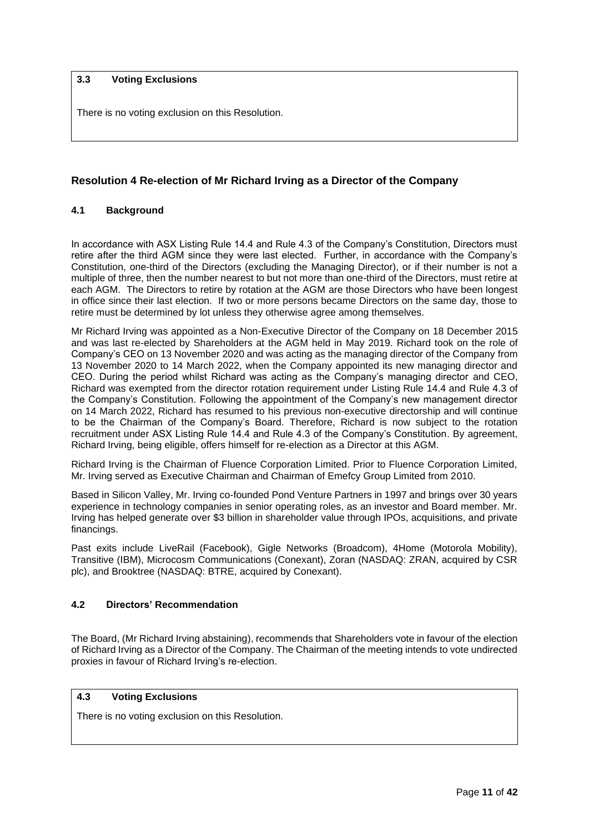### **3.3 Voting Exclusions**

There is no voting exclusion on this Resolution.

### **[Resolution 4](#page-4-3) [Re-election of Mr Richard Irving](#page-4-3) as a Director of the Company**

### **4.1 Background**

In accordance with ASX Listing Rule 14.4 and Rule 4.3 of the Company's Constitution, Directors must retire after the third AGM since they were last elected. Further, in accordance with the Company's Constitution, one-third of the Directors (excluding the Managing Director), or if their number is not a multiple of three, then the number nearest to but not more than one-third of the Directors, must retire at each AGM. The Directors to retire by rotation at the AGM are those Directors who have been longest in office since their last election. If two or more persons became Directors on the same day, those to retire must be determined by lot unless they otherwise agree among themselves.

Mr Richard Irving was appointed as a Non-Executive Director of the Company on 18 December 2015 and was last re-elected by Shareholders at the AGM held in May 2019. Richard took on the role of Company's CEO on 13 November 2020 and was acting as the managing director of the Company from 13 November 2020 to 14 March 2022, when the Company appointed its new managing director and CEO. During the period whilst Richard was acting as the Company's managing director and CEO, Richard was exempted from the director rotation requirement under Listing Rule 14.4 and Rule 4.3 of the Company's Constitution. Following the appointment of the Company's new management director on 14 March 2022, Richard has resumed to his previous non-executive directorship and will continue to be the Chairman of the Company's Board. Therefore, Richard is now subject to the rotation recruitment under ASX Listing Rule 14.4 and Rule 4.3 of the Company's Constitution. By agreement, Richard Irving, being eligible, offers himself for re-election as a Director at this AGM.

Richard Irving is the Chairman of Fluence Corporation Limited. Prior to Fluence Corporation Limited, Mr. Irving served as Executive Chairman and Chairman of Emefcy Group Limited from 2010.

Based in Silicon Valley, Mr. Irving co-founded Pond Venture Partners in 1997 and brings over 30 years experience in technology companies in senior operating roles, as an investor and Board member. Mr. Irving has helped generate over \$3 billion in shareholder value through IPOs, acquisitions, and private financings.

Past exits include LiveRail (Facebook), Gigle Networks (Broadcom), 4Home (Motorola Mobility), Transitive (IBM), Microcosm Communications (Conexant), Zoran (NASDAQ: ZRAN, acquired by CSR plc), and Brooktree (NASDAQ: BTRE, acquired by Conexant).

### **4.2 Directors' Recommendation**

The Board, (Mr Richard Irving abstaining), recommends that Shareholders vote in favour of the election of Richard Irving as a Director of the Company. The Chairman of the meeting intends to vote undirected proxies in favour of Richard Irving's re-election.

### **4.3 Voting Exclusions**

There is no voting exclusion on this Resolution.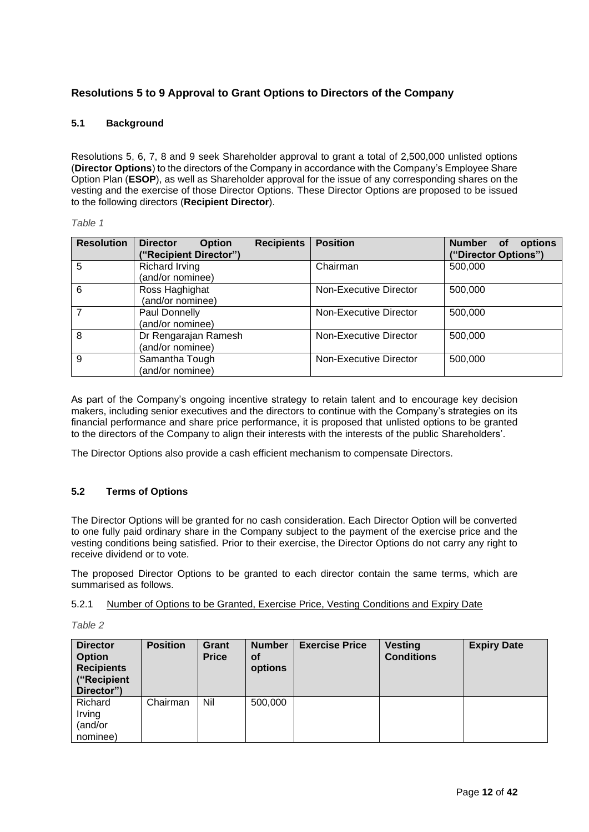### **Resolutions 5 to 9 Approval to Grant Options to Directors of the Company**

### <span id="page-12-2"></span>**5.1 Background**

Resolutions 5, 6, 7, 8 and 9 seek Shareholder approval to grant a total of 2,500,000 unlisted options (**Director Options**) to the directors of the Company in accordance with the Company's Employee Share Option Plan (**ESOP**), as well as Shareholder approval for the issue of any corresponding shares on the vesting and the exercise of those Director Options. These Director Options are proposed to be issued to the following directors (**Recipient Director**).

#### <span id="page-12-0"></span>*Table 1*

| <b>Resolution</b> | <b>Recipients</b><br><b>Director</b><br><b>Option</b><br>("Recipient Director") | <b>Position</b>        | Number of<br>options<br>("Director Options") |
|-------------------|---------------------------------------------------------------------------------|------------------------|----------------------------------------------|
| 5                 | Richard Irving<br>(and/or nominee)                                              | Chairman               | 500,000                                      |
| 6                 | Ross Haghighat<br>(and/or nominee)                                              | Non-Executive Director | 500,000                                      |
|                   | Paul Donnelly<br>(and/or nominee)                                               | Non-Executive Director | 500,000                                      |
| 8                 | Dr Rengarajan Ramesh<br>(and/or nominee)                                        | Non-Executive Director | 500,000                                      |
| 9                 | Samantha Tough<br>(and/or nominee)                                              | Non-Executive Director | 500,000                                      |

As part of the Company's ongoing incentive strategy to retain talent and to encourage key decision makers, including senior executives and the directors to continue with the Company's strategies on its financial performance and share price performance, it is proposed that unlisted options to be granted to the directors of the Company to align their interests with the interests of the public Shareholders'.

The Director Options also provide a cash efficient mechanism to compensate Directors.

### <span id="page-12-1"></span>**5.2 Terms of Options**

The Director Options will be granted for no cash consideration. Each Director Option will be converted to one fully paid ordinary share in the Company subject to the payment of the exercise price and the vesting conditions being satisfied. Prior to their exercise, the Director Options do not carry any right to receive dividend or to vote.

The proposed Director Options to be granted to each director contain the same terms, which are summarised as follows.

### 5.2.1 Number of Options to be Granted, Exercise Price, Vesting Conditions and Expiry Date

*Table 2*

| <b>Director</b><br><b>Option</b><br><b>Recipients</b><br>("Recipient<br>Director") | <b>Position</b> | Grant<br><b>Price</b> | <b>Number</b><br>οf<br>options | <b>Exercise Price</b> | <b>Vesting</b><br><b>Conditions</b> | <b>Expiry Date</b> |
|------------------------------------------------------------------------------------|-----------------|-----------------------|--------------------------------|-----------------------|-------------------------------------|--------------------|
| Richard<br>Irving<br>(and/or<br>nominee)                                           | Chairman        | Nil                   | 500,000                        |                       |                                     |                    |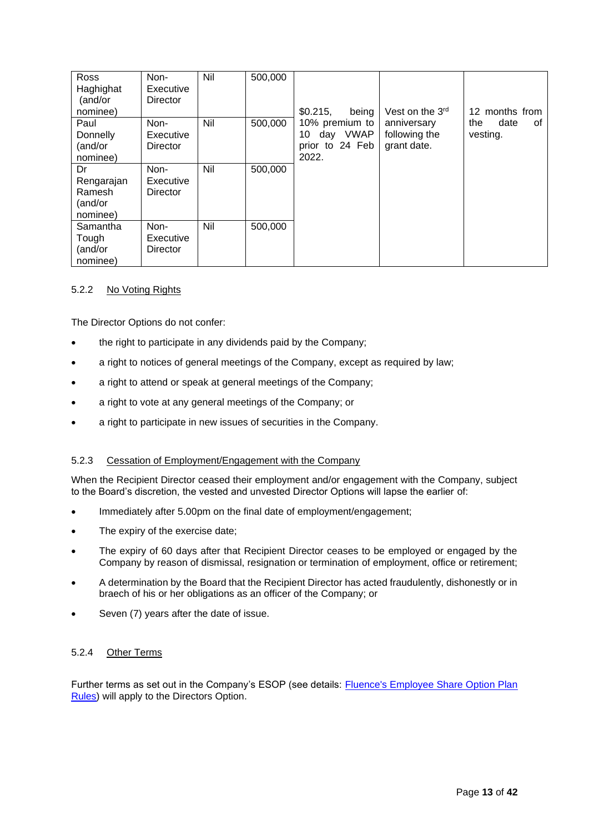| Ross<br>Haghighat<br>(and/or<br>nominee)          | Non-<br>Executive<br>Director | Nil | 500,000 | \$0.215,<br>being                                            | Vest on the 3rd                             | 12 months from                |
|---------------------------------------------------|-------------------------------|-----|---------|--------------------------------------------------------------|---------------------------------------------|-------------------------------|
| Paul<br>Donnelly<br>(and/or<br>nominee)           | Non-<br>Executive<br>Director | Nil | 500,000 | 10% premium to<br>day VWAP<br>10<br>prior to 24 Feb<br>2022. | anniversary<br>following the<br>grant date. | date<br>the<br>of<br>vesting. |
| Dr<br>Rengarajan<br>Ramesh<br>(and/or<br>nominee) | Non-<br>Executive<br>Director | Nil | 500,000 |                                                              |                                             |                               |
| Samantha<br>Tough<br>(and/or<br>nominee)          | Non-<br>Executive<br>Director | Nil | 500,000 |                                                              |                                             |                               |

### 5.2.2 No Voting Rights

The Director Options do not confer:

- the right to participate in any dividends paid by the Company;
- a right to notices of general meetings of the Company, except as required by law;
- a right to attend or speak at general meetings of the Company;
- a right to vote at any general meetings of the Company; or
- a right to participate in new issues of securities in the Company.

### 5.2.3 Cessation of Employment/Engagement with the Company

When the Recipient Director ceased their employment and/or engagement with the Company, subject to the Board's discretion, the vested and unvested Director Options will lapse the earlier of:

- Immediately after 5.00pm on the final date of employment/engagement;
- The expiry of the exercise date;
- The expiry of 60 days after that Recipient Director ceases to be employed or engaged by the Company by reason of dismissal, resignation or termination of employment, office or retirement;
- A determination by the Board that the Recipient Director has acted fraudulently, dishonestly or in braech of his or her obligations as an officer of the Company; or
- Seven (7) years after the date of issue.

### 5.2.4 Other Terms

Further terms as set out in the Company's ESOP (see details: [Fluence's Employee Share Option Plan](https://cdn-api.markitdigital.com/apiman-gateway/ASX/asx-research/1.0/file/2924-02232526-3A540728?access_token=83%20ff96335c2d45a094df02a206a39ff4)  [Rules\)](https://cdn-api.markitdigital.com/apiman-gateway/ASX/asx-research/1.0/file/2924-02232526-3A540728?access_token=83%20ff96335c2d45a094df02a206a39ff4) will apply to the Directors Option.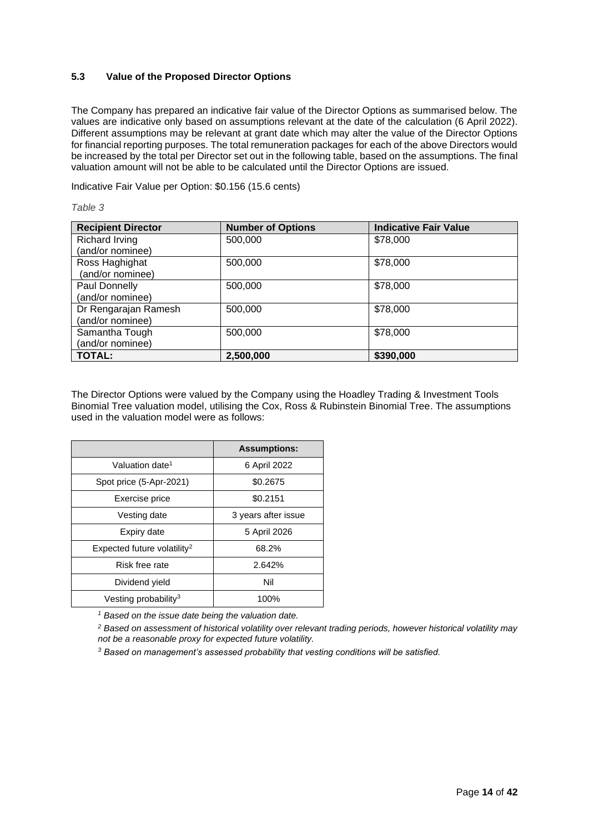### <span id="page-14-0"></span>**5.3 Value of the Proposed Director Options**

The Company has prepared an indicative fair value of the Director Options as summarised below. The values are indicative only based on assumptions relevant at the date of the calculation (6 April 2022). Different assumptions may be relevant at grant date which may alter the value of the Director Options for financial reporting purposes. The total remuneration packages for each of the above Directors would be increased by the total per Director set out in the following table, based on the assumptions. The final valuation amount will not be able to be calculated until the Director Options are issued.

Indicative Fair Value per Option: \$0.156 (15.6 cents)

#### *Table 3*

| <b>Recipient Director</b> | <b>Number of Options</b> | <b>Indicative Fair Value</b> |
|---------------------------|--------------------------|------------------------------|
| <b>Richard Irving</b>     | 500,000                  | \$78,000                     |
| (and/or nominee)          |                          |                              |
| Ross Haghighat            | 500,000                  | \$78,000                     |
| (and/or nominee)          |                          |                              |
| Paul Donnelly             | 500,000                  | \$78,000                     |
| (and/or nominee)          |                          |                              |
| Dr Rengarajan Ramesh      | 500,000                  | \$78,000                     |
| (and/or nominee)          |                          |                              |
| Samantha Tough            | 500,000                  | \$78,000                     |
| (and/or nominee)          |                          |                              |
| <b>TOTAL:</b>             | 2,500,000                | \$390,000                    |

The Director Options were valued by the Company using the Hoadley Trading & Investment Tools Binomial Tree valuation model, utilising the Cox, Ross & Rubinstein Binomial Tree. The assumptions used in the valuation model were as follows:

|                                         | <b>Assumptions:</b> |
|-----------------------------------------|---------------------|
| Valuation date <sup>1</sup>             | 6 April 2022        |
| Spot price (5-Apr-2021)                 | \$0.2675            |
| Exercise price                          | \$0.2151            |
| Vesting date                            | 3 years after issue |
| Expiry date                             | 5 April 2026        |
| Expected future volatility <sup>2</sup> | 68.2%               |
| Risk free rate                          | 2.642%              |
| Dividend yield                          | Nil                 |
| Vesting probability <sup>3</sup>        | 100%                |

*<sup>1</sup> Based on the issue date being the valuation date.*

*<sup>2</sup> Based on assessment of historical volatility over relevant trading periods, however historical volatility may not be a reasonable proxy for expected future volatility.*

*<sup>3</sup> Based on management's assessed probability that vesting conditions will be satisfied.*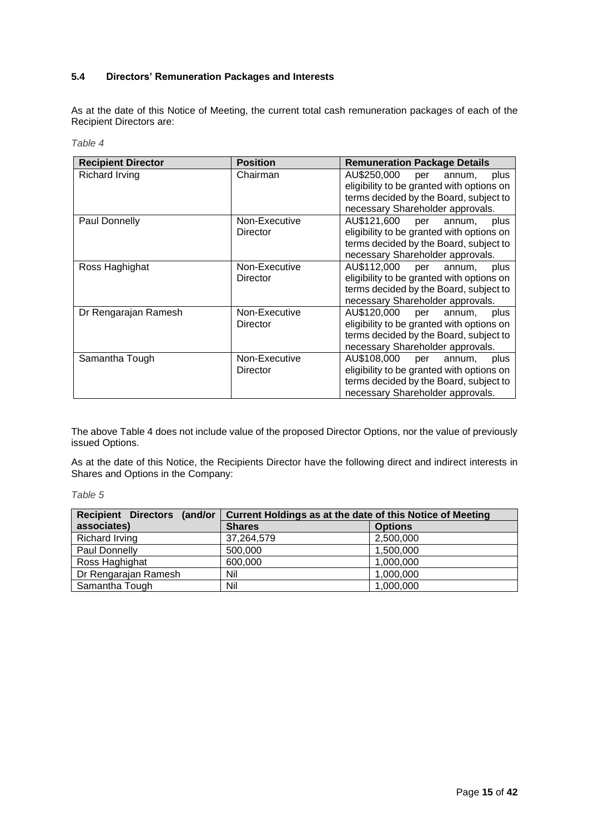### **5.4 Directors' Remuneration Packages and Interests**

As at the date of this Notice of Meeting, the current total cash remuneration packages of each of the Recipient Directors are:

#### <span id="page-15-0"></span>*Table 4*

| <b>Recipient Director</b> | <b>Position</b>           | <b>Remuneration Package Details</b>                                                                                                                             |
|---------------------------|---------------------------|-----------------------------------------------------------------------------------------------------------------------------------------------------------------|
| Richard Irving            | Chairman                  | AU\$250,000<br>per<br>annum,<br>plus<br>eligibility to be granted with options on<br>terms decided by the Board, subject to<br>necessary Shareholder approvals. |
| Paul Donnelly             | Non-Executive<br>Director | AU\$121,600<br>per<br>annum,<br>plus<br>eligibility to be granted with options on<br>terms decided by the Board, subject to<br>necessary Shareholder approvals. |
| Ross Haghighat            | Non-Executive<br>Director | AU\$112,000<br>per<br>annum,<br>plus<br>eligibility to be granted with options on<br>terms decided by the Board, subject to<br>necessary Shareholder approvals. |
| Dr Rengarajan Ramesh      | Non-Executive<br>Director | AU\$120,000<br>per<br>annum,<br>plus<br>eligibility to be granted with options on<br>terms decided by the Board, subject to<br>necessary Shareholder approvals. |
| Samantha Tough            | Non-Executive<br>Director | AU\$108,000<br>per<br>plus<br>annum,<br>eligibility to be granted with options on<br>terms decided by the Board, subject to<br>necessary Shareholder approvals. |

The above [Table 4](#page-15-0) does not include value of the proposed Director Options, nor the value of previously issued Options.

As at the date of this Notice, the Recipients Director have the following direct and indirect interests in Shares and Options in the Company:

#### <span id="page-15-1"></span>*Table 5*

| <b>Recipient Directors</b><br>(and/or | Current Holdings as at the date of this Notice of Meeting |                |  |  |
|---------------------------------------|-----------------------------------------------------------|----------------|--|--|
| associates)                           | <b>Shares</b>                                             | <b>Options</b> |  |  |
| Richard Irving                        | 37,264,579                                                | 2,500,000      |  |  |
| Paul Donnelly                         | 500,000                                                   | 1,500,000      |  |  |
| Ross Haghighat                        | 600,000                                                   | 1,000,000      |  |  |
| Dr Rengarajan Ramesh                  | Nil                                                       | 1,000,000      |  |  |
| Samantha Tough                        | Nil                                                       | 1,000,000      |  |  |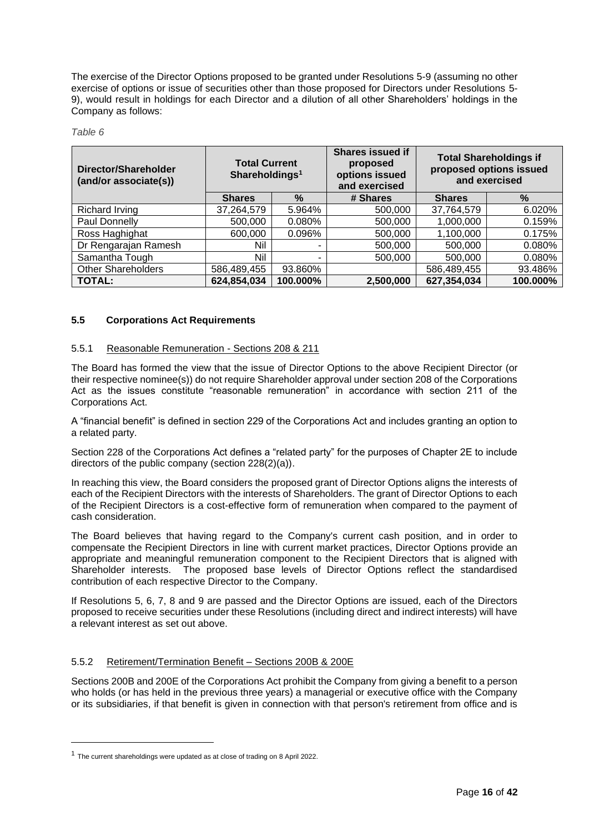The exercise of the Director Options proposed to be granted under Resolutions 5-9 (assuming no other exercise of options or issue of securities other than those proposed for Directors under Resolutions 5- 9), would result in holdings for each Director and a dilution of all other Shareholders' holdings in the Company as follows:

*Table 6*

| Director/Shareholder<br>(and/or associate(s)) | <b>Total Current</b><br>Shareholdings <sup>1</sup> |          | <b>Shares issued if</b><br>proposed<br>options issued<br>and exercised | <b>Total Shareholdings if</b><br>proposed options issued<br>and exercised |           |
|-----------------------------------------------|----------------------------------------------------|----------|------------------------------------------------------------------------|---------------------------------------------------------------------------|-----------|
|                                               | <b>Shares</b>                                      | $\%$     | # Shares                                                               | <b>Shares</b>                                                             | $\%$      |
| Richard Irving                                | 37,264,579                                         | 5.964%   | 500,000                                                                | 37,764,579                                                                | 6.020%    |
| Paul Donnelly                                 | 500,000                                            | 0.080%   | 500,000                                                                | 1,000,000                                                                 | 0.159%    |
| Ross Haghighat                                | 600,000                                            | 0.096%   | 500,000                                                                | 1,100,000                                                                 | 0.175%    |
| Dr Rengarajan Ramesh                          | Nil                                                |          | 500,000                                                                | 500,000                                                                   | 0.080%    |
| Samantha Tough                                | Nil                                                |          | 500,000                                                                | 500,000                                                                   | $0.080\%$ |
| <b>Other Shareholders</b>                     | 586,489,455<br>93.860%                             |          |                                                                        | 586,489,455                                                               | 93.486%   |
| <b>TOTAL:</b>                                 | 624,854,034                                        | 100.000% | 2,500,000                                                              | 627,354,034                                                               | 100.000%  |

#### **5.5 Corporations Act Requirements**

#### 5.5.1 Reasonable Remuneration - Sections 208 & 211

The Board has formed the view that the issue of Director Options to the above Recipient Director (or their respective nominee(s)) do not require Shareholder approval under section 208 of the Corporations Act as the issues constitute "reasonable remuneration" in accordance with section 211 of the Corporations Act.

A "financial benefit" is defined in section 229 of the Corporations Act and includes granting an option to a related party.

Section 228 of the Corporations Act defines a "related party" for the purposes of Chapter 2E to include directors of the public company (section 228(2)(a)).

In reaching this view, the Board considers the proposed grant of Director Options aligns the interests of each of the Recipient Directors with the interests of Shareholders. The grant of Director Options to each of the Recipient Directors is a cost-effective form of remuneration when compared to the payment of cash consideration.

The Board believes that having regard to the Company's current cash position, and in order to compensate the Recipient Directors in line with current market practices, Director Options provide an appropriate and meaningful remuneration component to the Recipient Directors that is aligned with Shareholder interests. The proposed base levels of Director Options reflect the standardised contribution of each respective Director to the Company.

If Resolutions 5, 6, 7, 8 and 9 are passed and the Director Options are issued, each of the Directors proposed to receive securities under these Resolutions (including direct and indirect interests) will have a relevant interest as set out above.

#### 5.5.2 Retirement/Termination Benefit – Sections 200B & 200E

Sections 200B and 200E of the Corporations Act prohibit the Company from giving a benefit to a person who holds (or has held in the previous three years) a managerial or executive office with the Company or its subsidiaries, if that benefit is given in connection with that person's retirement from office and is

<sup>1</sup> The current shareholdings were updated as at close of trading on 8 April 2022.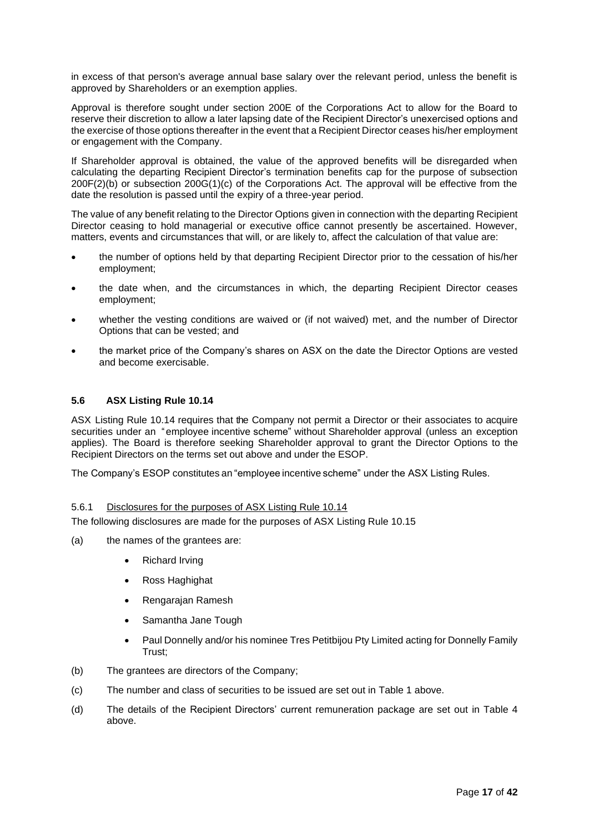in excess of that person's average annual base salary over the relevant period, unless the benefit is approved by Shareholders or an exemption applies.

Approval is therefore sought under section 200E of the Corporations Act to allow for the Board to reserve their discretion to allow a later lapsing date of the Recipient Director's unexercised options and the exercise of those options thereafter in the event that a Recipient Director ceases his/her employment or engagement with the Company.

If Shareholder approval is obtained, the value of the approved benefits will be disregarded when calculating the departing Recipient Director's termination benefits cap for the purpose of subsection 200F(2)(b) or subsection 200G(1)(c) of the Corporations Act. The approval will be effective from the date the resolution is passed until the expiry of a three-year period.

The value of any benefit relating to the Director Options given in connection with the departing Recipient Director ceasing to hold managerial or executive office cannot presently be ascertained. However, matters, events and circumstances that will, or are likely to, affect the calculation of that value are:

- the number of options held by that departing Recipient Director prior to the cessation of his/her employment;
- the date when, and the circumstances in which, the departing Recipient Director ceases employment;
- whether the vesting conditions are waived or (if not waived) met, and the number of Director Options that can be vested; and
- the market price of the Company's shares on ASX on the date the Director Options are vested and become exercisable.

### **5.6 ASX Listing Rule 10.14**

ASX Listing Rule 10.14 requires that the Company not permit a Director or their associates to acquire securities under an "employee incentive scheme" without Shareholder approval (unless an exception applies). The Board is therefore seeking Shareholder approval to grant the Director Options to the Recipient Directors on the terms set out above and under the ESOP.

The Company's ESOP constitutes an "employee incentive scheme" under the ASX Listing Rules.

#### 5.6.1 Disclosures for the purposes of ASX Listing Rule 10.14

The following disclosures are made for the purposes of ASX Listing Rule 10.15

- (a) the names of the grantees are:
	- Richard Irving
	- Ross Haghighat
	- Rengarajan Ramesh
	- Samantha Jane Tough
	- Paul Donnelly and/or his nominee Tres Petitbijou Pty Limited acting for Donnelly Family Trust;
- (b) The grantees are directors of the Company;
- (c) The number and class of securities to be issued are set out in [Table 1](#page-12-0) above.
- (d) The details of the Recipient Directors' current remuneration package are set out in [Table 4](#page-15-0) above.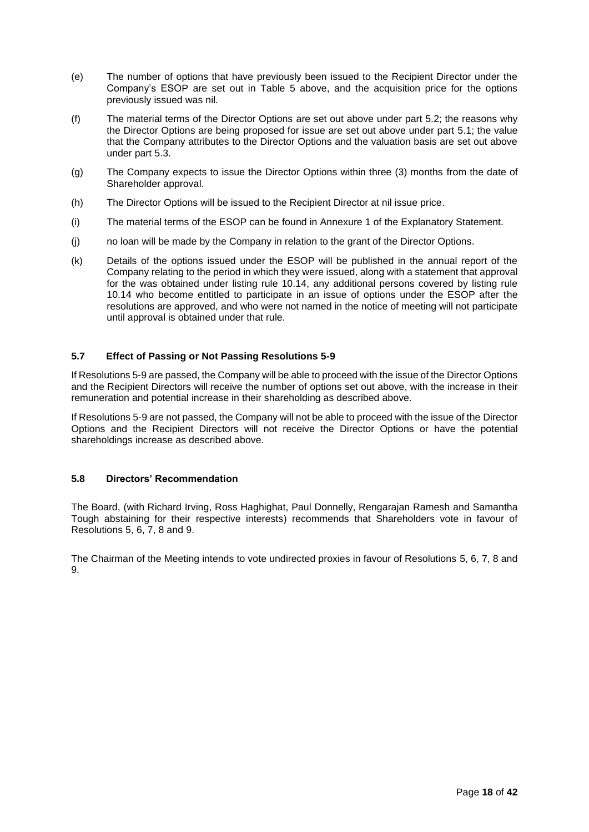- (e) The number of options that have previously been issued to the Recipient Director under the Company's ESOP are set out in [Table 5](#page-15-1) above, and the acquisition price for the options previously issued was nil.
- (f) The material terms of the Director Options are set out above under part [5.2;](#page-12-1) the reasons why the Director Options are being proposed for issue are set out above under part [5.1;](#page-12-2) the value that the Company attributes to the Director Options and the valuation basis are set out above under part [5.3.](#page-14-0)
- (g) The Company expects to issue the Director Options within three (3) months from the date of Shareholder approval.
- (h) The Director Options will be issued to the Recipient Director at nil issue price.
- (i) The material terms of the ESOP can be found in Annexure 1 of the Explanatory Statement.
- (j) no loan will be made by the Company in relation to the grant of the Director Options.
- (k) Details of the options issued under the ESOP will be published in the annual report of the Company relating to the period in which they were issued, along with a statement that approval for the was obtained under listing rule 10.14, any additional persons covered by listing rule 10.14 who become entitled to participate in an issue of options under the ESOP after the resolutions are approved, and who were not named in the notice of meeting will not participate until approval is obtained under that rule.

#### **5.7 Effect of Passing or Not Passing Resolutions 5-9**

If Resolutions 5-9 are passed, the Company will be able to proceed with the issue of the Director Options and the Recipient Directors will receive the number of options set out above, with the increase in their remuneration and potential increase in their shareholding as described above.

If Resolutions 5-9 are not passed, the Company will not be able to proceed with the issue of the Director Options and the Recipient Directors will not receive the Director Options or have the potential shareholdings increase as described above.

#### **5.8 Directors' Recommendation**

The Board, (with Richard Irving, Ross Haghighat, Paul Donnelly, Rengarajan Ramesh and Samantha Tough abstaining for their respective interests) recommends that Shareholders vote in favour of Resolutions 5, 6, 7, 8 and 9.

The Chairman of the Meeting intends to vote undirected proxies in favour of Resolutions 5, 6, 7, 8 and 9.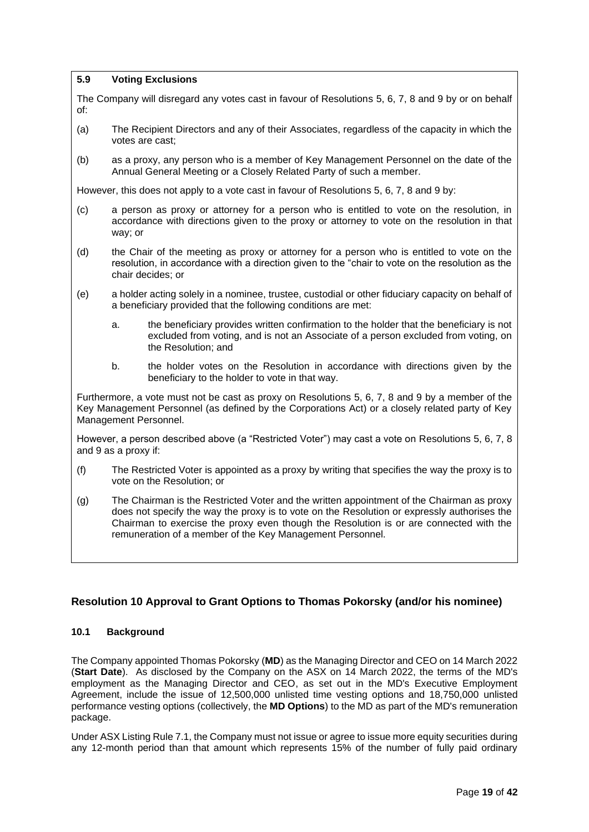### **5.9 Voting Exclusions**

The Company will disregard any votes cast in favour of Resolutions 5, 6, 7, 8 and 9 by or on behalf of:

- (a) The Recipient Directors and any of their Associates, regardless of the capacity in which the votes are cast;
- (b) as a proxy, any person who is a member of Key Management Personnel on the date of the Annual General Meeting or a Closely Related Party of such a member.

However, this does not apply to a vote cast in favour of Resolutions 5, 6, 7, 8 and 9 by:

- (c) a person as proxy or attorney for a person who is entitled to vote on the resolution, in accordance with directions given to the proxy or attorney to vote on the resolution in that way; or
- (d) the Chair of the meeting as proxy or attorney for a person who is entitled to vote on the resolution, in accordance with a direction given to the "chair to vote on the resolution as the chair decides; or
- (e) a holder acting solely in a nominee, trustee, custodial or other fiduciary capacity on behalf of a beneficiary provided that the following conditions are met:
	- a. the beneficiary provides written confirmation to the holder that the beneficiary is not excluded from voting, and is not an Associate of a person excluded from voting, on the Resolution; and
	- b. the holder votes on the Resolution in accordance with directions given by the beneficiary to the holder to vote in that way.

Furthermore, a vote must not be cast as proxy on Resolutions 5, 6, 7, 8 and 9 by a member of the Key Management Personnel (as defined by the Corporations Act) or a closely related party of Key Management Personnel.

However, a person described above (a "Restricted Voter") may cast a vote on Resolutions 5, 6, 7, 8 and 9 as a proxy if:

- (f) The Restricted Voter is appointed as a proxy by writing that specifies the way the proxy is to vote on the Resolution; or
- (g) The Chairman is the Restricted Voter and the written appointment of the Chairman as proxy does not specify the way the proxy is to vote on the Resolution or expressly authorises the Chairman to exercise the proxy even though the Resolution is or are connected with the remuneration of a member of the Key Management Personnel.

### **[Resolution 10](#page-6-0) [Approval to Grant Options to Thomas Pokorsky \(and/or his nominee\)](#page-6-0)**

### **10.1 Background**

The Company appointed Thomas Pokorsky (**MD**) as the Managing Director and CEO on 14 March 2022 (**Start Date**). As disclosed by the Company on the ASX on 14 March 2022, the terms of the MD's employment as the Managing Director and CEO, as set out in the MD's Executive Employment Agreement, include the issue of 12,500,000 unlisted time vesting options and 18,750,000 unlisted performance vesting options (collectively, the **MD Options**) to the MD as part of the MD's remuneration package.

Under ASX Listing Rule 7.1, the Company must not issue or agree to issue more equity securities during any 12-month period than that amount which represents 15% of the number of fully paid ordinary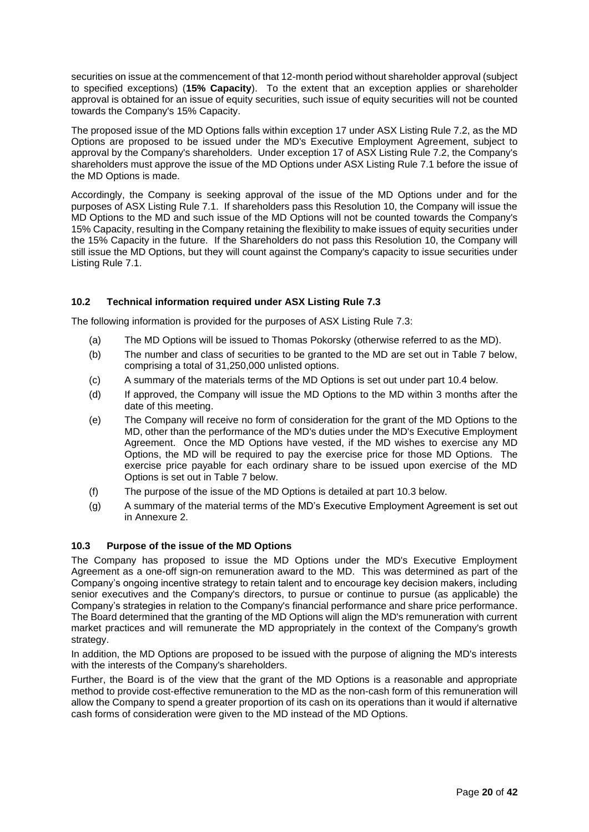securities on issue at the commencement of that 12-month period without shareholder approval (subject to specified exceptions) (**15% Capacity**). To the extent that an exception applies or shareholder approval is obtained for an issue of equity securities, such issue of equity securities will not be counted towards the Company's 15% Capacity.

The proposed issue of the MD Options falls within exception 17 under ASX Listing Rule 7.2, as the MD Options are proposed to be issued under the MD's Executive Employment Agreement, subject to approval by the Company's shareholders. Under exception 17 of ASX Listing Rule 7.2, the Company's shareholders must approve the issue of the MD Options under ASX Listing Rule 7.1 before the issue of the MD Options is made.

Accordingly, the Company is seeking approval of the issue of the MD Options under and for the purposes of ASX Listing Rule 7.1. If shareholders pass this Resolution 10, the Company will issue the MD Options to the MD and such issue of the MD Options will not be counted towards the Company's 15% Capacity, resulting in the Company retaining the flexibility to make issues of equity securities under the 15% Capacity in the future. If the Shareholders do not pass this Resolution 10, the Company will still issue the MD Options, but they will count against the Company's capacity to issue securities under Listing Rule 7.1.

### **10.2 Technical information required under ASX Listing Rule 7.3**

The following information is provided for the purposes of ASX Listing Rule 7.3:

- (a) The MD Options will be issued to Thomas Pokorsky (otherwise referred to as the MD).
- (b) The number and class of securities to be granted to the MD are set out in Table 7 below, comprising a total of 31,250,000 unlisted options.
- (c) A summary of the materials terms of the MD Options is set out under part [10.4](#page-21-0) below.
- (d) If approved, the Company will issue the MD Options to the MD within 3 months after the date of this meeting.
- (e) The Company will receive no form of consideration for the grant of the MD Options to the MD, other than the performance of the MD's duties under the MD's Executive Employment Agreement. Once the MD Options have vested, if the MD wishes to exercise any MD Options, the MD will be required to pay the exercise price for those MD Options. The exercise price payable for each ordinary share to be issued upon exercise of the MD Options is set out in Table 7 below.
- (f) The purpose of the issue of the MD Options is detailed at part [10.3](#page-20-0) below.
- (g) A summary of the material terms of the MD's Executive Employment Agreement is set out in Annexure 2.

### <span id="page-20-0"></span>**10.3 Purpose of the issue of the MD Options**

The Company has proposed to issue the MD Options under the MD's Executive Employment Agreement as a one-off sign-on remuneration award to the MD. This was determined as part of the Company's ongoing incentive strategy to retain talent and to encourage key decision makers, including senior executives and the Company's directors, to pursue or continue to pursue (as applicable) the Company's strategies in relation to the Company's financial performance and share price performance. The Board determined that the granting of the MD Options will align the MD's remuneration with current market practices and will remunerate the MD appropriately in the context of the Company's growth strategy.

In addition, the MD Options are proposed to be issued with the purpose of aligning the MD's interests with the interests of the Company's shareholders.

Further, the Board is of the view that the grant of the MD Options is a reasonable and appropriate method to provide cost-effective remuneration to the MD as the non-cash form of this remuneration will allow the Company to spend a greater proportion of its cash on its operations than it would if alternative cash forms of consideration were given to the MD instead of the MD Options.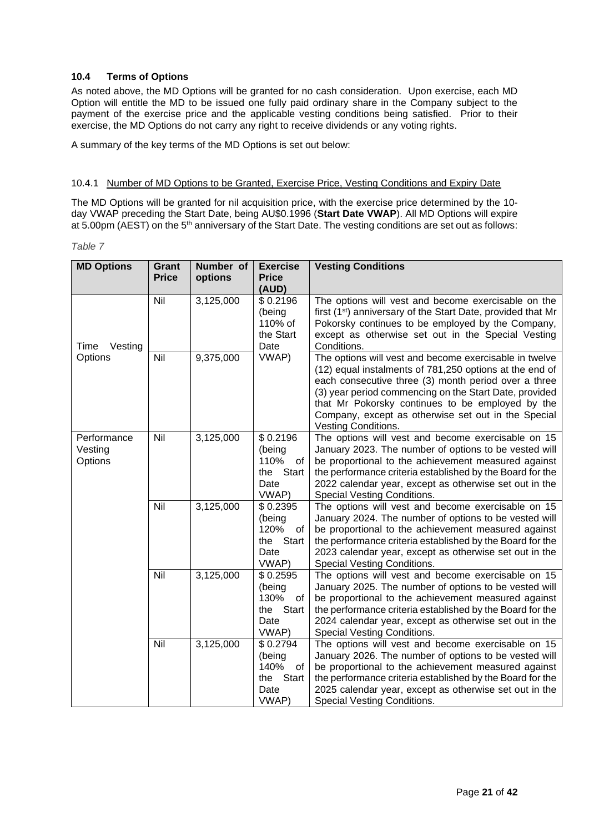### <span id="page-21-0"></span>**10.4 Terms of Options**

As noted above, the MD Options will be granted for no cash consideration. Upon exercise, each MD Option will entitle the MD to be issued one fully paid ordinary share in the Company subject to the payment of the exercise price and the applicable vesting conditions being satisfied. Prior to their exercise, the MD Options do not carry any right to receive dividends or any voting rights.

A summary of the key terms of the MD Options is set out below:

#### 10.4.1 Number of MD Options to be Granted, Exercise Price, Vesting Conditions and Expiry Date

The MD Options will be granted for nil acquisition price, with the exercise price determined by the 10 day VWAP preceding the Start Date, being AU\$0.1996 (**Start Date VWAP**). All MD Options will expire at 5.00pm (AEST) on the 5<sup>th</sup> anniversary of the Start Date. The vesting conditions are set out as follows:

| <b>MD Options</b>                 | Grant<br><b>Price</b> | Number of<br>options | <b>Exercise</b><br><b>Price</b><br>(AUD)                          | <b>Vesting Conditions</b>                                                                                                                                                                                                                                                                                                                                             |
|-----------------------------------|-----------------------|----------------------|-------------------------------------------------------------------|-----------------------------------------------------------------------------------------------------------------------------------------------------------------------------------------------------------------------------------------------------------------------------------------------------------------------------------------------------------------------|
| Time<br>Vesting                   | Nil                   | 3,125,000            | \$0.2196<br>(being<br>110% of<br>the Start<br>Date                | The options will vest and become exercisable on the<br>first (1 <sup>st</sup> ) anniversary of the Start Date, provided that Mr<br>Pokorsky continues to be employed by the Company,<br>except as otherwise set out in the Special Vesting<br>Conditions.                                                                                                             |
| Options                           | Nil                   | 9,375,000            | VWAP)                                                             | The options will vest and become exercisable in twelve<br>(12) equal instalments of 781,250 options at the end of<br>each consecutive three (3) month period over a three<br>(3) year period commencing on the Start Date, provided<br>that Mr Pokorsky continues to be employed by the<br>Company, except as otherwise set out in the Special<br>Vesting Conditions. |
| Performance<br>Vesting<br>Options | Nil                   | 3,125,000            | \$0.2196<br>(being<br>110%<br>of<br>the Start<br>Date<br>VWAP)    | The options will vest and become exercisable on 15<br>January 2023. The number of options to be vested will<br>be proportional to the achievement measured against<br>the performance criteria established by the Board for the<br>2022 calendar year, except as otherwise set out in the<br>Special Vesting Conditions.                                              |
|                                   | Nil                   | 3,125,000            | \$0.2395<br>(being<br>120%<br>of<br>Start<br>the<br>Date<br>VWAP) | The options will vest and become exercisable on 15<br>January 2024. The number of options to be vested will<br>be proportional to the achievement measured against<br>the performance criteria established by the Board for the<br>2023 calendar year, except as otherwise set out in the<br>Special Vesting Conditions.                                              |
|                                   | Nil                   | 3,125,000            | \$0.2595<br>(being<br>130%<br>of<br>Start<br>the<br>Date<br>VWAP) | The options will vest and become exercisable on 15<br>January 2025. The number of options to be vested will<br>be proportional to the achievement measured against<br>the performance criteria established by the Board for the<br>2024 calendar year, except as otherwise set out in the<br><b>Special Vesting Conditions.</b>                                       |
|                                   | Nil                   | 3,125,000            | \$0.2794<br>(being<br>140%<br>of<br>Start<br>the<br>Date<br>VWAP) | The options will vest and become exercisable on 15<br>January 2026. The number of options to be vested will<br>be proportional to the achievement measured against<br>the performance criteria established by the Board for the<br>2025 calendar year, except as otherwise set out in the<br>Special Vesting Conditions.                                              |

<span id="page-21-1"></span>*Table 7*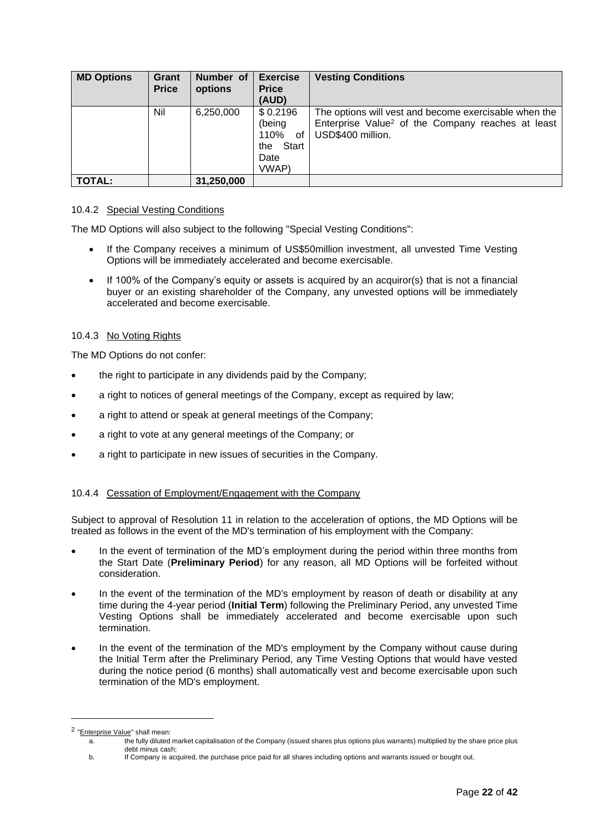| <b>MD Options</b> | Grant<br><b>Price</b> | Number of<br>options | <b>Exercise</b><br><b>Price</b><br>(AUD)                       | <b>Vesting Conditions</b>                                                                                                                   |
|-------------------|-----------------------|----------------------|----------------------------------------------------------------|---------------------------------------------------------------------------------------------------------------------------------------------|
|                   | Nil                   | 6,250,000            | \$0.2196<br>(being<br>110%<br>of<br>the Start<br>Date<br>VWAP) | The options will vest and become exercisable when the<br>Enterprise Value <sup>2</sup> of the Company reaches at least<br>USD\$400 million. |
| <b>TOTAL:</b>     |                       | 31,250,000           |                                                                |                                                                                                                                             |

### <span id="page-22-0"></span>10.4.2 Special Vesting Conditions

The MD Options will also subject to the following "Special Vesting Conditions":

- If the Company receives a minimum of US\$50million investment, all unvested Time Vesting Options will be immediately accelerated and become exercisable.
- If 100% of the Company's equity or assets is acquired by an acquiror(s) that is not a financial buyer or an existing shareholder of the Company, any unvested options will be immediately accelerated and become exercisable.

#### 10.4.3 No Voting Rights

The MD Options do not confer:

- the right to participate in any dividends paid by the Company;
- a right to notices of general meetings of the Company, except as required by law;
- a right to attend or speak at general meetings of the Company;
- a right to vote at any general meetings of the Company; or
- a right to participate in new issues of securities in the Company.

### 10.4.4 Cessation of Employment/Engagement with the Company

Subject to approval of Resolution 11 in relation to the acceleration of options, the MD Options will be treated as follows in the event of the MD's termination of his employment with the Company:

- In the event of termination of the MD's employment during the period within three months from the Start Date (**Preliminary Period**) for any reason, all MD Options will be forfeited without consideration.
- In the event of the termination of the MD's employment by reason of death or disability at any time during the 4-year period (**Initial Term**) following the Preliminary Period, any unvested Time Vesting Options shall be immediately accelerated and become exercisable upon such termination.
- In the event of the termination of the MD's employment by the Company without cause during the Initial Term after the Preliminary Period, any Time Vesting Options that would have vested during the notice period (6 months) shall automatically vest and become exercisable upon such termination of the MD's employment.

<sup>&</sup>lt;sup>2</sup> "Enterprise Value" shall mean:

a. the fully diluted market capitalisation of the Company (issued shares plus options plus warrants) multiplied by the share price plus debt minus cash;

b. If Company is acquired, the purchase price paid for all shares including options and warrants issued or bought out.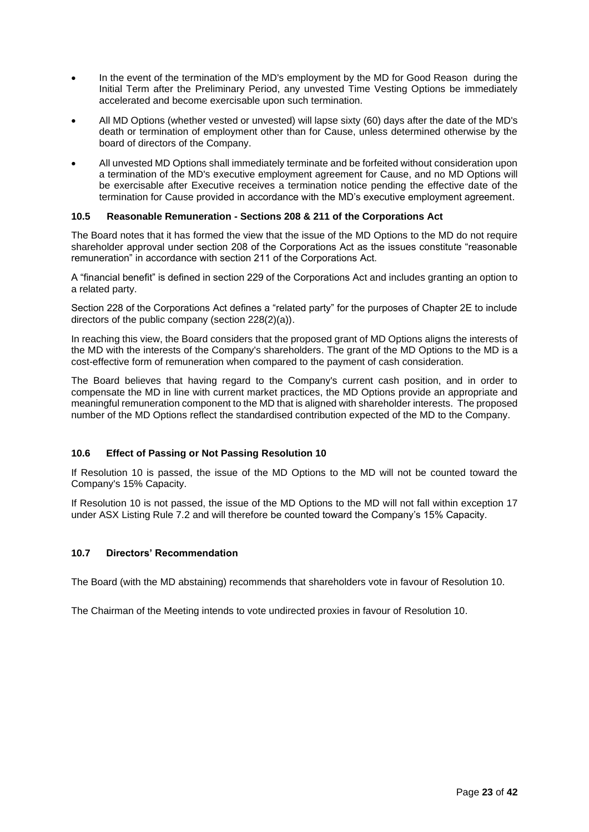- In the event of the termination of the MD's employment by the MD for Good Reason during the Initial Term after the Preliminary Period, any unvested Time Vesting Options be immediately accelerated and become exercisable upon such termination.
- All MD Options (whether vested or unvested) will lapse sixty (60) days after the date of the MD's death or termination of employment other than for Cause, unless determined otherwise by the board of directors of the Company.
- All unvested MD Options shall immediately terminate and be forfeited without consideration upon a termination of the MD's executive employment agreement for Cause, and no MD Options will be exercisable after Executive receives a termination notice pending the effective date of the termination for Cause provided in accordance with the MD's executive employment agreement.

### **10.5 Reasonable Remuneration - Sections 208 & 211 of the Corporations Act**

The Board notes that it has formed the view that the issue of the MD Options to the MD do not require shareholder approval under section 208 of the Corporations Act as the issues constitute "reasonable remuneration" in accordance with section 211 of the Corporations Act.

A "financial benefit" is defined in section 229 of the Corporations Act and includes granting an option to a related party.

Section 228 of the Corporations Act defines a "related party" for the purposes of Chapter 2E to include directors of the public company (section 228(2)(a)).

In reaching this view, the Board considers that the proposed grant of MD Options aligns the interests of the MD with the interests of the Company's shareholders. The grant of the MD Options to the MD is a cost-effective form of remuneration when compared to the payment of cash consideration.

The Board believes that having regard to the Company's current cash position, and in order to compensate the MD in line with current market practices, the MD Options provide an appropriate and meaningful remuneration component to the MD that is aligned with shareholder interests. The proposed number of the MD Options reflect the standardised contribution expected of the MD to the Company.

### **10.6 Effect of Passing or Not Passing [Resolution 10](#page-6-0)**

If Resolution 10 is passed, the issue of the MD Options to the MD will not be counted toward the Company's 15% Capacity.

If Resolution 10 is not passed, the issue of the MD Options to the MD will not fall within exception 17 under ASX Listing Rule 7.2 and will therefore be counted toward the Company's 15% Capacity.

### **10.7 Directors' Recommendation**

The Board (with the MD abstaining) recommends that shareholders vote in favour of [Resolution 10.](#page-6-0)

The Chairman of the Meeting intends to vote undirected proxies in favour of [Resolution 10.](#page-6-0)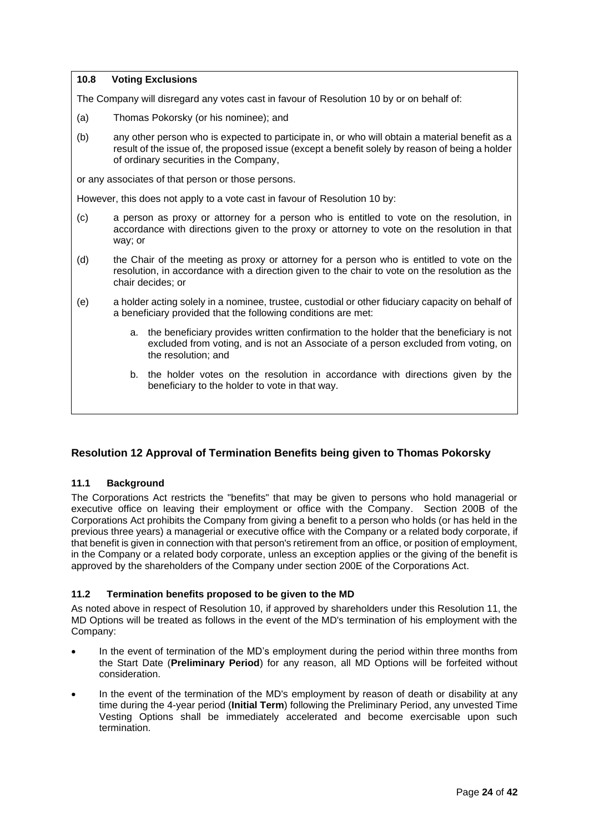#### **10.8 Voting Exclusions**

The Company will disregard any votes cast in favour of [Resolution 10](#page-6-0) by or on behalf of:

- (a) Thomas Pokorsky (or his nominee); and
- (b) any other person who is expected to participate in, or who will obtain a material benefit as a result of the issue of, the proposed issue (except a benefit solely by reason of being a holder of ordinary securities in the Company,

or any associates of that person or those persons.

However, this does not apply to a vote cast in favour of [Resolution 10](#page-6-0) by:

- (c) a person as proxy or attorney for a person who is entitled to vote on the resolution, in accordance with directions given to the proxy or attorney to vote on the resolution in that way; or
- (d) the Chair of the meeting as proxy or attorney for a person who is entitled to vote on the resolution, in accordance with a direction given to the chair to vote on the resolution as the chair decides; or
- (e) a holder acting solely in a nominee, trustee, custodial or other fiduciary capacity on behalf of a beneficiary provided that the following conditions are met:
	- a. the beneficiary provides written confirmation to the holder that the beneficiary is not excluded from voting, and is not an Associate of a person excluded from voting, on the resolution; and
	- b. the holder votes on the resolution in accordance with directions given by the beneficiary to the holder to vote in that way.

### **[Resolution 12](#page-6-1) Approval of Termination Benefits being given to Thomas Pokorsky**

### **11.1 Background**

The Corporations Act restricts the "benefits" that may be given to persons who hold managerial or executive office on leaving their employment or office with the Company. Section 200B of the Corporations Act prohibits the Company from giving a benefit to a person who holds (or has held in the previous three years) a managerial or executive office with the Company or a related body corporate, if that benefit is given in connection with that person's retirement from an office, or position of employment, in the Company or a related body corporate, unless an exception applies or the giving of the benefit is approved by the shareholders of the Company under section 200E of the Corporations Act.

### **11.2 Termination benefits proposed to be given to the MD**

As noted above in respect of Resolution 10, if approved by shareholders under this Resolution 11, the MD Options will be treated as follows in the event of the MD's termination of his employment with the Company:

- In the event of termination of the MD's employment during the period within three months from the Start Date (**Preliminary Period**) for any reason, all MD Options will be forfeited without consideration.
- In the event of the termination of the MD's employment by reason of death or disability at any time during the 4-year period (**Initial Term**) following the Preliminary Period, any unvested Time Vesting Options shall be immediately accelerated and become exercisable upon such termination.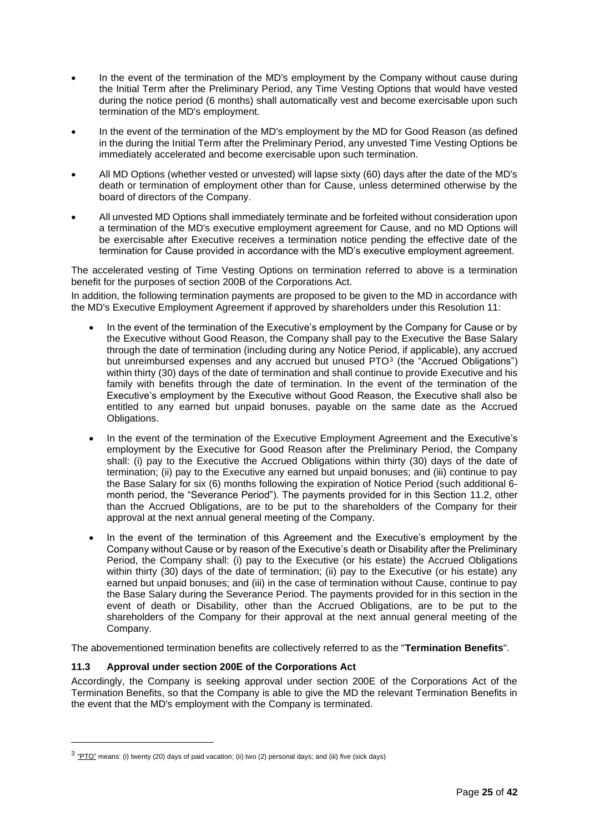- In the event of the termination of the MD's employment by the Company without cause during the Initial Term after the Preliminary Period, any Time Vesting Options that would have vested during the notice period (6 months) shall automatically vest and become exercisable upon such termination of the MD's employment.
- In the event of the termination of the MD's employment by the MD for Good Reason (as defined in the during the Initial Term after the Preliminary Period, any unvested Time Vesting Options be immediately accelerated and become exercisable upon such termination.
- All MD Options (whether vested or unvested) will lapse sixty (60) days after the date of the MD's death or termination of employment other than for Cause, unless determined otherwise by the board of directors of the Company.
- All unvested MD Options shall immediately terminate and be forfeited without consideration upon a termination of the MD's executive employment agreement for Cause, and no MD Options will be exercisable after Executive receives a termination notice pending the effective date of the termination for Cause provided in accordance with the MD's executive employment agreement.

The accelerated vesting of Time Vesting Options on termination referred to above is a termination benefit for the purposes of section 200B of the Corporations Act.

In addition, the following termination payments are proposed to be given to the MD in accordance with the MD's Executive Employment Agreement if approved by shareholders under this Resolution 11:

- In the event of the termination of the Executive's employment by the Company for Cause or by the Executive without Good Reason, the Company shall pay to the Executive the Base Salary through the date of termination (including during any Notice Period, if applicable), any accrued but unreimbursed expenses and any accrued but unused PTO $3$  (the "Accrued Obligations") within thirty (30) days of the date of termination and shall continue to provide Executive and his family with benefits through the date of termination. In the event of the termination of the Executive's employment by the Executive without Good Reason, the Executive shall also be entitled to any earned but unpaid bonuses, payable on the same date as the Accrued Obligations.
- In the event of the termination of the Executive Employment Agreement and the Executive's employment by the Executive for Good Reason after the Preliminary Period, the Company shall: (i) pay to the Executive the Accrued Obligations within thirty (30) days of the date of termination; (ii) pay to the Executive any earned but unpaid bonuses; and (iii) continue to pay the Base Salary for six (6) months following the expiration of Notice Period (such additional 6 month period, the "Severance Period"). The payments provided for in this Section 11.2, other than the Accrued Obligations, are to be put to the shareholders of the Company for their approval at the next annual general meeting of the Company.
- In the event of the termination of this Agreement and the Executive's employment by the Company without Cause or by reason of the Executive's death or Disability after the Preliminary Period, the Company shall: (i) pay to the Executive (or his estate) the Accrued Obligations within thirty (30) days of the date of termination; (ii) pay to the Executive (or his estate) any earned but unpaid bonuses; and (iii) in the case of termination without Cause, continue to pay the Base Salary during the Severance Period. The payments provided for in this section in the event of death or Disability, other than the Accrued Obligations, are to be put to the shareholders of the Company for their approval at the next annual general meeting of the Company.

The abovementioned termination benefits are collectively referred to as the "**Termination Benefits**".

### **11.3 Approval under section 200E of the Corporations Act**

Accordingly, the Company is seeking approval under section 200E of the Corporations Act of the Termination Benefits, so that the Company is able to give the MD the relevant Termination Benefits in the event that the MD's employment with the Company is terminated.

 $^3$   $\frac{\text{``PTO''}}{\text{} }$  means: (i) twenty (20) days of paid vacation; (ii) two (2) personal days; and (iii) five (sick days)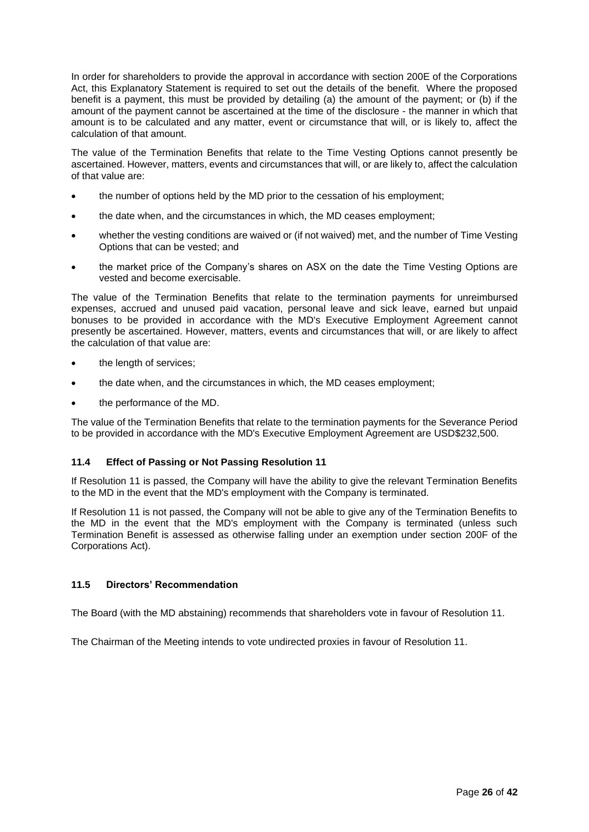In order for shareholders to provide the approval in accordance with section 200E of the Corporations Act, this Explanatory Statement is required to set out the details of the benefit. Where the proposed benefit is a payment, this must be provided by detailing (a) the amount of the payment; or (b) if the amount of the payment cannot be ascertained at the time of the disclosure - the manner in which that amount is to be calculated and any matter, event or circumstance that will, or is likely to, affect the calculation of that amount.

The value of the Termination Benefits that relate to the Time Vesting Options cannot presently be ascertained. However, matters, events and circumstances that will, or are likely to, affect the calculation of that value are:

- the number of options held by the MD prior to the cessation of his employment;
- the date when, and the circumstances in which, the MD ceases employment;
- whether the vesting conditions are waived or (if not waived) met, and the number of Time Vesting Options that can be vested; and
- the market price of the Company's shares on ASX on the date the Time Vesting Options are vested and become exercisable.

The value of the Termination Benefits that relate to the termination payments for unreimbursed expenses, accrued and unused paid vacation, personal leave and sick leave, earned but unpaid bonuses to be provided in accordance with the MD's Executive Employment Agreement cannot presently be ascertained. However, matters, events and circumstances that will, or are likely to affect the calculation of that value are:

- the length of services;
- the date when, and the circumstances in which, the MD ceases employment;
- the performance of the MD.

The value of the Termination Benefits that relate to the termination payments for the Severance Period to be provided in accordance with the MD's Executive Employment Agreement are USD\$232,500.

### **11.4 Effect of Passing or Not Passing Resolution 11**

If Resolution 11 is passed, the Company will have the ability to give the relevant Termination Benefits to the MD in the event that the MD's employment with the Company is terminated.

If Resolution 11 is not passed, the Company will not be able to give any of the Termination Benefits to the MD in the event that the MD's employment with the Company is terminated (unless such Termination Benefit is assessed as otherwise falling under an exemption under section 200F of the Corporations Act).

#### **11.5 Directors' Recommendation**

The Board (with the MD abstaining) recommends that shareholders vote in favour of Resolution 11.

The Chairman of the Meeting intends to vote undirected proxies in favour of Resolution 11.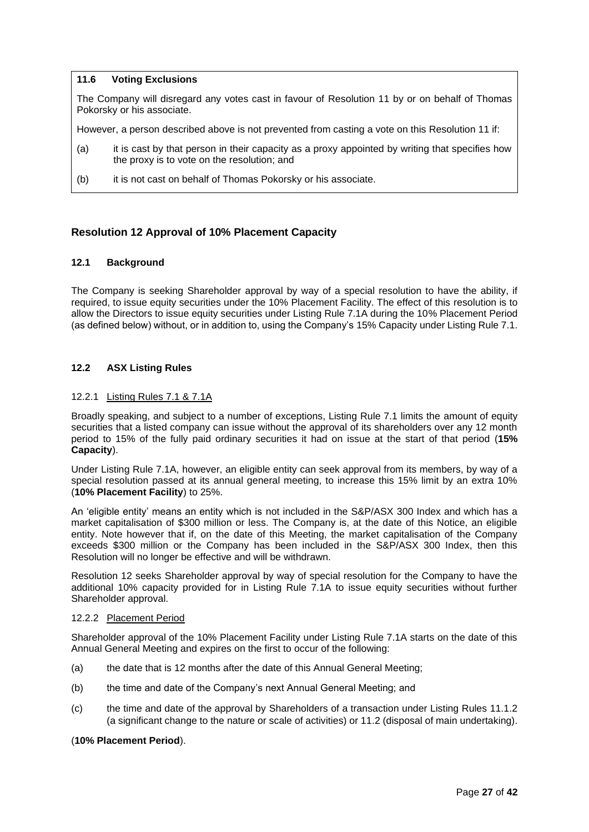### **11.6 Voting Exclusions**

The Company will disregard any votes cast in favour of Resolution 11 by or on behalf of Thomas Pokorsky or his associate.

However, a person described above is not prevented from casting a vote on this Resolution 11 if:

- (a) it is cast by that person in their capacity as a proxy appointed by writing that specifies how the proxy is to vote on the resolution; and
- (b) it is not cast on behalf of Thomas Pokorsky or his associate.

### **[Resolution 12](#page-6-1) [Approval of 10% Placement Capacity](#page-6-1)**

#### **12.1 Background**

The Company is seeking Shareholder approval by way of a special resolution to have the ability, if required, to issue equity securities under the 10% Placement Facility. The effect of this resolution is to allow the Directors to issue equity securities under Listing Rule 7.1A during the 10% Placement Period (as defined below) without, or in addition to, using the Company's 15% Capacity under Listing Rule 7.1.

#### **12.2 ASX Listing Rules**

#### 12.2.1 Listing Rules 7.1 & 7.1A

Broadly speaking, and subject to a number of exceptions, Listing Rule 7.1 limits the amount of equity securities that a listed company can issue without the approval of its shareholders over any 12 month period to 15% of the fully paid ordinary securities it had on issue at the start of that period (**15% Capacity**).

Under Listing Rule 7.1A, however, an eligible entity can seek approval from its members, by way of a special resolution passed at its annual general meeting, to increase this 15% limit by an extra 10% (**10% Placement Facility**) to 25%.

An 'eligible entity' means an entity which is not included in the S&P/ASX 300 Index and which has a market capitalisation of \$300 million or less. The Company is, at the date of this Notice, an eligible entity. Note however that if, on the date of this Meeting, the market capitalisation of the Company exceeds \$300 million or the Company has been included in the S&P/ASX 300 Index, then this Resolution will no longer be effective and will be withdrawn.

[Resolution 12](#page-6-1) seeks Shareholder approval by way of special resolution for the Company to have the additional 10% capacity provided for in Listing Rule 7.1A to issue equity securities without further Shareholder approval.

#### 12.2.2 Placement Period

Shareholder approval of the 10% Placement Facility under Listing Rule 7.1A starts on the date of this Annual General Meeting and expires on the first to occur of the following:

- (a) the date that is 12 months after the date of this Annual General Meeting;
- (b) the time and date of the Company's next Annual General Meeting; and
- (c) the time and date of the approval by Shareholders of a transaction under Listing Rules 11.1.2 (a significant change to the nature or scale of activities) or 11.2 (disposal of main undertaking).

#### (**10% Placement Period**).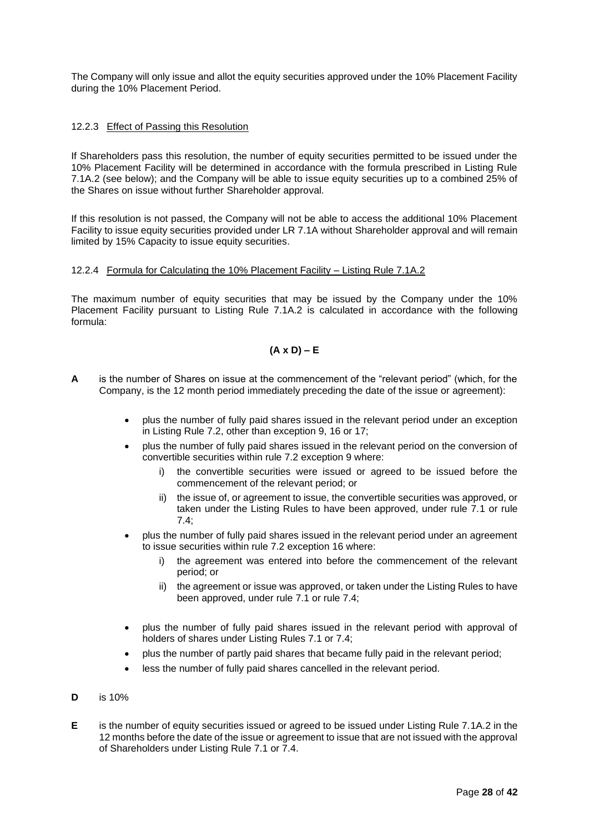The Company will only issue and allot the equity securities approved under the 10% Placement Facility during the 10% Placement Period.

### 12.2.3 Effect of Passing this Resolution

If Shareholders pass this resolution, the number of equity securities permitted to be issued under the 10% Placement Facility will be determined in accordance with the formula prescribed in Listing Rule 7.1A.2 (see below); and the Company will be able to issue equity securities up to a combined 25% of the Shares on issue without further Shareholder approval.

If this resolution is not passed, the Company will not be able to access the additional 10% Placement Facility to issue equity securities provided under LR 7.1A without Shareholder approval and will remain limited by 15% Capacity to issue equity securities.

### 12.2.4 Formula for Calculating the 10% Placement Facility – Listing Rule 7.1A.2

The maximum number of equity securities that may be issued by the Company under the 10% Placement Facility pursuant to Listing Rule 7.1A.2 is calculated in accordance with the following formula:

### **(A x D) – E**

- **A** is the number of Shares on issue at the commencement of the "relevant period" (which, for the Company, is the 12 month period immediately preceding the date of the issue or agreement):
	- plus the number of fully paid shares issued in the relevant period under an exception in Listing Rule 7.2, other than exception 9, 16 or 17;
	- plus the number of fully paid shares issued in the relevant period on the conversion of convertible securities within rule 7.2 exception 9 where:
		- i) the convertible securities were issued or agreed to be issued before the commencement of the relevant period; or
		- ii) the issue of, or agreement to issue, the convertible securities was approved, or taken under the Listing Rules to have been approved, under rule 7.1 or rule 7.4;
	- plus the number of fully paid shares issued in the relevant period under an agreement to issue securities within rule 7.2 exception 16 where:
		- i) the agreement was entered into before the commencement of the relevant period; or
		- ii) the agreement or issue was approved, or taken under the Listing Rules to have been approved, under rule 7.1 or rule 7.4;
	- plus the number of fully paid shares issued in the relevant period with approval of holders of shares under Listing Rules 7.1 or 7.4;
	- plus the number of partly paid shares that became fully paid in the relevant period;
	- less the number of fully paid shares cancelled in the relevant period.
- **D** is 10%
- **E** is the number of equity securities issued or agreed to be issued under Listing Rule 7.1A.2 in the 12 months before the date of the issue or agreement to issue that are not issued with the approval of Shareholders under Listing Rule 7.1 or 7.4.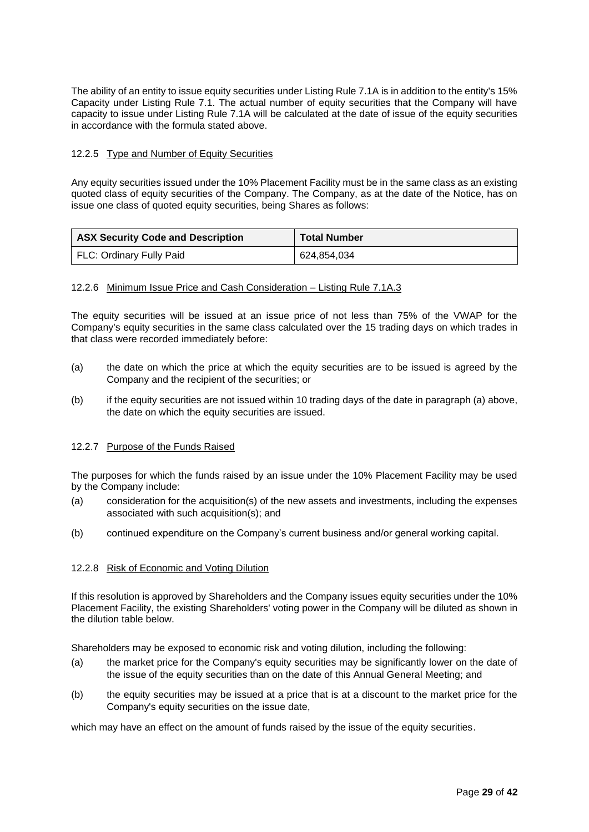The ability of an entity to issue equity securities under Listing Rule 7.1A is in addition to the entity's 15% Capacity under Listing Rule 7.1. The actual number of equity securities that the Company will have capacity to issue under Listing Rule 7.1A will be calculated at the date of issue of the equity securities in accordance with the formula stated above.

#### 12.2.5 Type and Number of Equity Securities

Any equity securities issued under the 10% Placement Facility must be in the same class as an existing quoted class of equity securities of the Company. The Company, as at the date of the Notice, has on issue one class of quoted equity securities, being Shares as follows:

| <b>ASX Security Code and Description</b> | <b>Total Number</b> |
|------------------------------------------|---------------------|
| FLC: Ordinary Fully Paid                 | 624,854,034         |

#### 12.2.6 Minimum Issue Price and Cash Consideration – Listing Rule 7.1A.3

The equity securities will be issued at an issue price of not less than 75% of the VWAP for the Company's equity securities in the same class calculated over the 15 trading days on which trades in that class were recorded immediately before:

- (a) the date on which the price at which the equity securities are to be issued is agreed by the Company and the recipient of the securities; or
- (b) if the equity securities are not issued within 10 trading days of the date in paragraph (a) above, the date on which the equity securities are issued.

#### 12.2.7 Purpose of the Funds Raised

The purposes for which the funds raised by an issue under the 10% Placement Facility may be used by the Company include:

- (a) consideration for the acquisition(s) of the new assets and investments, including the expenses associated with such acquisition(s); and
- (b) continued expenditure on the Company's current business and/or general working capital.

#### 12.2.8 Risk of Economic and Voting Dilution

If this resolution is approved by Shareholders and the Company issues equity securities under the 10% Placement Facility, the existing Shareholders' voting power in the Company will be diluted as shown in the dilution table below.

Shareholders may be exposed to economic risk and voting dilution, including the following:

- (a) the market price for the Company's equity securities may be significantly lower on the date of the issue of the equity securities than on the date of this Annual General Meeting; and
- (b) the equity securities may be issued at a price that is at a discount to the market price for the Company's equity securities on the issue date,

which may have an effect on the amount of funds raised by the issue of the equity securities.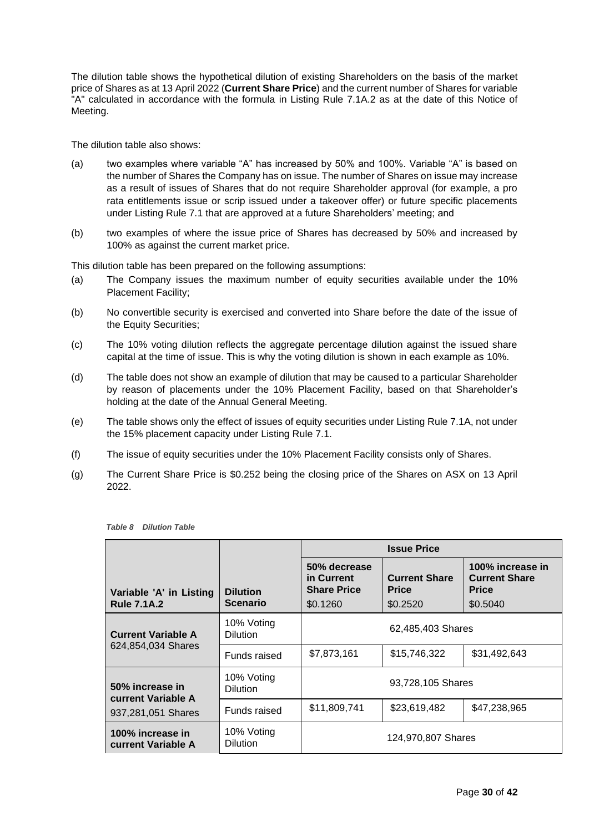The dilution table shows the hypothetical dilution of existing Shareholders on the basis of the market price of Shares as at 13 April 2022 (**Current Share Price**) and the current number of Shares for variable "A" calculated in accordance with the formula in Listing Rule 7.1A.2 as at the date of this Notice of Meeting.

The dilution table also shows:

- (a) two examples where variable "A" has increased by 50% and 100%. Variable "A" is based on the number of Shares the Company has on issue. The number of Shares on issue may increase as a result of issues of Shares that do not require Shareholder approval (for example, a pro rata entitlements issue or scrip issued under a takeover offer) or future specific placements under Listing Rule 7.1 that are approved at a future Shareholders' meeting; and
- (b) two examples of where the issue price of Shares has decreased by 50% and increased by 100% as against the current market price.

This dilution table has been prepared on the following assumptions:

- (a) The Company issues the maximum number of equity securities available under the 10% Placement Facility;
- (b) No convertible security is exercised and converted into Share before the date of the issue of the Equity Securities;
- (c) The 10% voting dilution reflects the aggregate percentage dilution against the issued share capital at the time of issue. This is why the voting dilution is shown in each example as 10%.
- (d) The table does not show an example of dilution that may be caused to a particular Shareholder by reason of placements under the 10% Placement Facility, based on that Shareholder's holding at the date of the Annual General Meeting.
- (e) The table shows only the effect of issues of equity securities under Listing Rule 7.1A, not under the 15% placement capacity under Listing Rule 7.1.
- (f) The issue of equity securities under the 10% Placement Facility consists only of Shares.
- (g) The Current Share Price is \$0.252 being the closing price of the Shares on ASX on 13 April 2022.

|                                               |                                    | <b>Issue Price</b>                                           |                                                  |                                                                      |  |  |
|-----------------------------------------------|------------------------------------|--------------------------------------------------------------|--------------------------------------------------|----------------------------------------------------------------------|--|--|
| Variable 'A' in Listing<br><b>Rule 7.1A.2</b> | <b>Dilution</b><br><b>Scenario</b> | 50% decrease<br>in Current<br><b>Share Price</b><br>\$0.1260 | <b>Current Share</b><br><b>Price</b><br>\$0.2520 | 100% increase in<br><b>Current Share</b><br><b>Price</b><br>\$0.5040 |  |  |
| <b>Current Variable A</b>                     | 10% Voting<br><b>Dilution</b>      | 62,485,403 Shares                                            |                                                  |                                                                      |  |  |
| 624,854,034 Shares                            | Funds raised                       | \$7,873,161                                                  | \$15,746,322                                     | \$31,492,643                                                         |  |  |
| 50% increase in<br>current Variable A         | 10% Voting<br><b>Dilution</b>      | 93,728,105 Shares                                            |                                                  |                                                                      |  |  |
| 937,281,051 Shares                            | Funds raised                       | \$11,809,741                                                 | \$23,619,482                                     | \$47,238,965                                                         |  |  |
| 100% increase in<br>current Variable A        | 10% Voting<br><b>Dilution</b>      |                                                              | 124,970,807 Shares                               |                                                                      |  |  |

*Table 8 Dilution Table*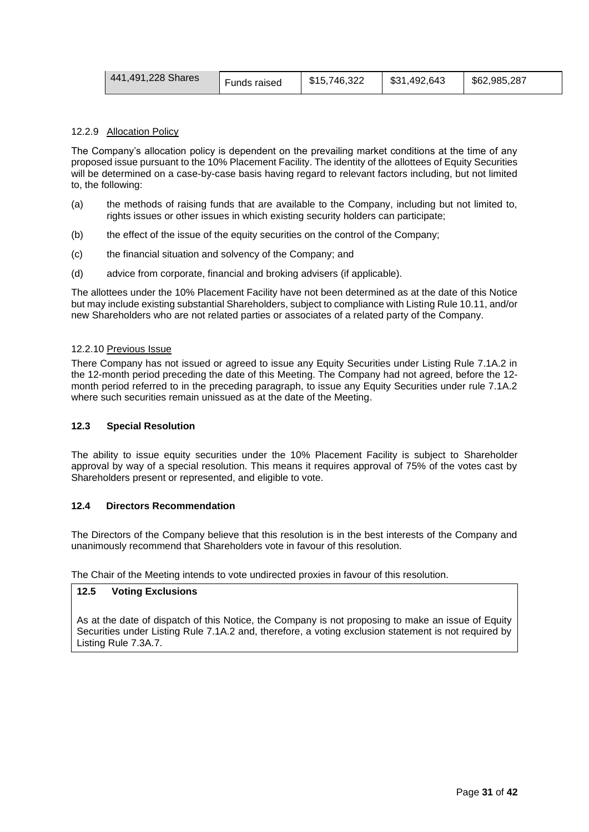| 441,491,228 Shares<br>\$15,746,322<br>\$62,985,287<br>\$31,492,643<br>Funds raised |  |
|------------------------------------------------------------------------------------|--|
|------------------------------------------------------------------------------------|--|

#### 12.2.9 Allocation Policy

The Company's allocation policy is dependent on the prevailing market conditions at the time of any proposed issue pursuant to the 10% Placement Facility. The identity of the allottees of Equity Securities will be determined on a case-by-case basis having regard to relevant factors including, but not limited to, the following:

- (a) the methods of raising funds that are available to the Company, including but not limited to, rights issues or other issues in which existing security holders can participate;
- (b) the effect of the issue of the equity securities on the control of the Company;
- (c) the financial situation and solvency of the Company; and
- (d) advice from corporate, financial and broking advisers (if applicable).

The allottees under the 10% Placement Facility have not been determined as at the date of this Notice but may include existing substantial Shareholders, subject to compliance with Listing Rule 10.11, and/or new Shareholders who are not related parties or associates of a related party of the Company.

#### 12.2.10 Previous Issue

There Company has not issued or agreed to issue any Equity Securities under Listing Rule 7.1A.2 in the 12-month period preceding the date of this Meeting. The Company had not agreed, before the 12 month period referred to in the preceding paragraph, to issue any Equity Securities under rule 7.1A.2 where such securities remain unissued as at the date of the Meeting.

#### **12.3 Special Resolution**

The ability to issue equity securities under the 10% Placement Facility is subject to Shareholder approval by way of a special resolution. This means it requires approval of 75% of the votes cast by Shareholders present or represented, and eligible to vote.

### **12.4 Directors Recommendation**

The Directors of the Company believe that this resolution is in the best interests of the Company and unanimously recommend that Shareholders vote in favour of this resolution.

The Chair of the Meeting intends to vote undirected proxies in favour of this resolution.

### **12.5 Voting Exclusions**

As at the date of dispatch of this Notice, the Company is not proposing to make an issue of Equity Securities under Listing Rule 7.1A.2 and, therefore, a voting exclusion statement is not required by Listing Rule 7.3A.7.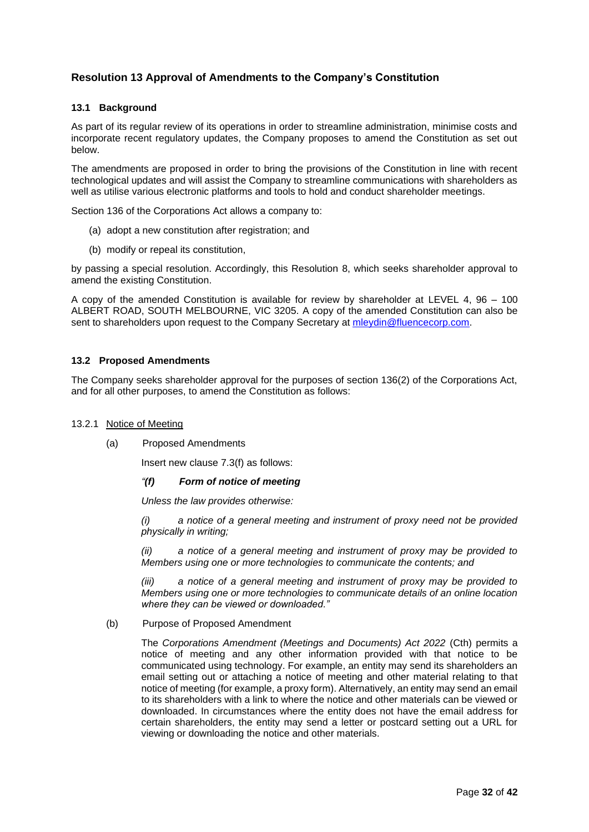### **[Resolution 13](#page-6-2) [Approval of Amendments to the](#page-6-2) Company's Constitution**

### **13.1 Background**

As part of its regular review of its operations in order to streamline administration, minimise costs and incorporate recent regulatory updates, the Company proposes to amend the Constitution as set out below.

The amendments are proposed in order to bring the provisions of the Constitution in line with recent technological updates and will assist the Company to streamline communications with shareholders as well as utilise various electronic platforms and tools to hold and conduct shareholder meetings.

Section 136 of the Corporations Act allows a company to:

- (a) adopt a new constitution after registration; and
- (b) modify or repeal its constitution,

by passing a special resolution. Accordingly, this Resolution 8, which seeks shareholder approval to amend the existing Constitution.

A copy of the amended Constitution is available for review by shareholder at LEVEL 4, 96 – 100 ALBERT ROAD, SOUTH MELBOURNE, VIC 3205. A copy of the amended Constitution can also be sent to shareholders upon request to the Company Secretary at [mleydin@fluencecorp.com.](mailto:mleydin@fluencecorp.com)

#### **13.2 Proposed Amendments**

The Company seeks shareholder approval for the purposes of section 136(2) of the Corporations Act, and for all other purposes, to amend the Constitution as follows:

#### 13.2.1 Notice of Meeting

(a) Proposed Amendments

Insert new clause 7.3(f) as follows:

#### *"(f) Form of notice of meeting*

*Unless the law provides otherwise:* 

*(i) a notice of a general meeting and instrument of proxy need not be provided physically in writing;* 

*(ii) a notice of a general meeting and instrument of proxy may be provided to Members using one or more technologies to communicate the contents; and* 

*(iii) a notice of a general meeting and instrument of proxy may be provided to Members using one or more technologies to communicate details of an online location where they can be viewed or downloaded."*

(b) Purpose of Proposed Amendment

The *Corporations Amendment (Meetings and Documents) Act 2022* (Cth) permits a notice of meeting and any other information provided with that notice to be communicated using technology. For example, an entity may send its shareholders an email setting out or attaching a notice of meeting and other material relating to that notice of meeting (for example, a proxy form). Alternatively, an entity may send an email to its shareholders with a link to where the notice and other materials can be viewed or downloaded. In circumstances where the entity does not have the email address for certain shareholders, the entity may send a letter or postcard setting out a URL for viewing or downloading the notice and other materials.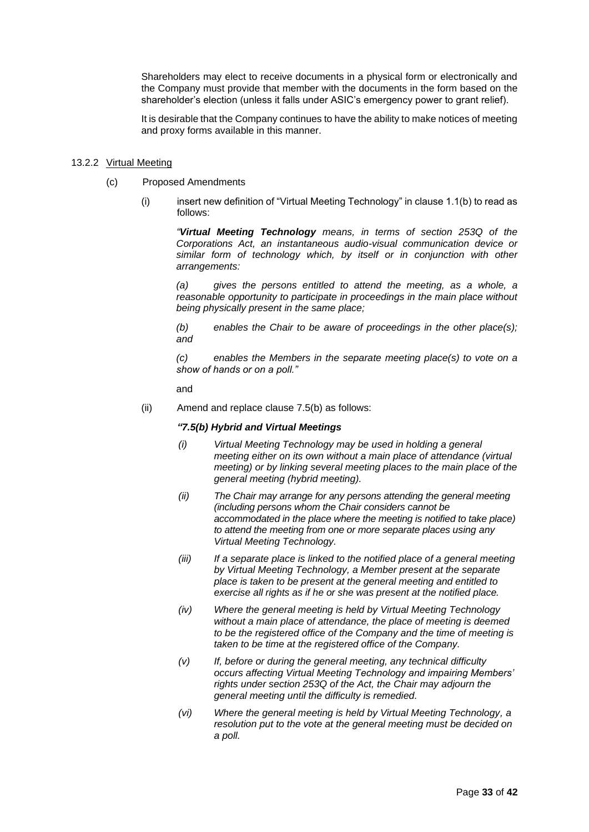Shareholders may elect to receive documents in a physical form or electronically and the Company must provide that member with the documents in the form based on the shareholder's election (unless it falls under ASIC's emergency power to grant relief).

It is desirable that the Company continues to have the ability to make notices of meeting and proxy forms available in this manner.

#### 13.2.2 Virtual Meeting

- (c) Proposed Amendments
	- (i) insert new definition of "Virtual Meeting Technology" in clause 1.1(b) to read as follows:

*"Virtual Meeting Technology means, in terms of section 253Q of the Corporations Act, an instantaneous audio-visual communication device or similar form of technology which, by itself or in conjunction with other arrangements:*

*(a) gives the persons entitled to attend the meeting, as a whole, a reasonable opportunity to participate in proceedings in the main place without being physically present in the same place;* 

*(b) enables the Chair to be aware of proceedings in the other place(s); and* 

*(c) enables the Members in the separate meeting place(s) to vote on a show of hands or on a poll."*

and

(ii) Amend and replace clause 7.5(b) as follows:

#### *"7.5(b) Hybrid and Virtual Meetings*

- *(i) Virtual Meeting Technology may be used in holding a general meeting either on its own without a main place of attendance (virtual meeting) or by linking several meeting places to the main place of the general meeting (hybrid meeting).*
- *(ii) The Chair may arrange for any persons attending the general meeting (including persons whom the Chair considers cannot be accommodated in the place where the meeting is notified to take place) to attend the meeting from one or more separate places using any Virtual Meeting Technology.*
- *(iii) If a separate place is linked to the notified place of a general meeting by Virtual Meeting Technology, a Member present at the separate place is taken to be present at the general meeting and entitled to exercise all rights as if he or she was present at the notified place.*
- *(iv) Where the general meeting is held by Virtual Meeting Technology without a main place of attendance, the place of meeting is deemed to be the registered office of the Company and the time of meeting is taken to be time at the registered office of the Company.*
- *(v) If, before or during the general meeting, any technical difficulty occurs affecting Virtual Meeting Technology and impairing Members' rights under section 253Q of the Act, the Chair may adjourn the general meeting until the difficulty is remedied.*
- *(vi) Where the general meeting is held by Virtual Meeting Technology, a [resolution](http://www8.austlii.edu.au/au/legis/cth/consol_act/ca2001172/s9.html#resolution) put to the vote at the general meeting must be decided on a poll.*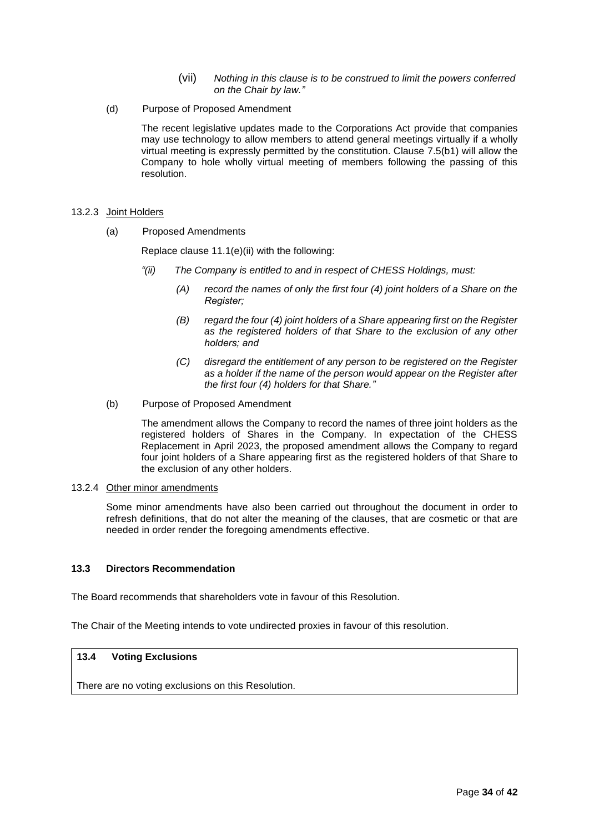- (vii) *Nothing in this clause is to be construed to limit the powers conferred on the Chair by law."*
- (d) Purpose of Proposed Amendment

The recent legislative updates made to the Corporations Act provide that companies may use technology to allow members to attend general meetings virtually if a wholly virtual meeting is expressly permitted by the constitution. Clause 7.5(b1) will allow the Company to hole wholly virtual meeting of members following the passing of this resolution.

#### 13.2.3 Joint Holders

(a) Proposed Amendments

Replace clause 11.1(e)(ii) with the following:

- *"(ii) The Company is entitled to and in respect of CHESS Holdings, must:*
	- *(A) record the names of only the first four (4) joint holders of a Share on the Register;*
	- *(B) regard the four (4) joint holders of a Share appearing first on the Register as the registered holders of that Share to the exclusion of any other holders; and*
	- *(C) disregard the entitlement of any person to be registered on the Register as a holder if the name of the person would appear on the Register after the first four (4) holders for that Share."*
- (b) Purpose of Proposed Amendment

The amendment allows the Company to record the names of three joint holders as the registered holders of Shares in the Company. In expectation of the CHESS Replacement in April 2023, the proposed amendment allows the Company to regard four joint holders of a Share appearing first as the registered holders of that Share to the exclusion of any other holders.

#### 13.2.4 Other minor amendments

Some minor amendments have also been carried out throughout the document in order to refresh definitions, that do not alter the meaning of the clauses, that are cosmetic or that are needed in order render the foregoing amendments effective.

#### **13.3 Directors Recommendation**

The Board recommends that shareholders vote in favour of this Resolution.

The Chair of the Meeting intends to vote undirected proxies in favour of this resolution.

#### **13.4 Voting Exclusions**

There are no voting exclusions on this Resolution.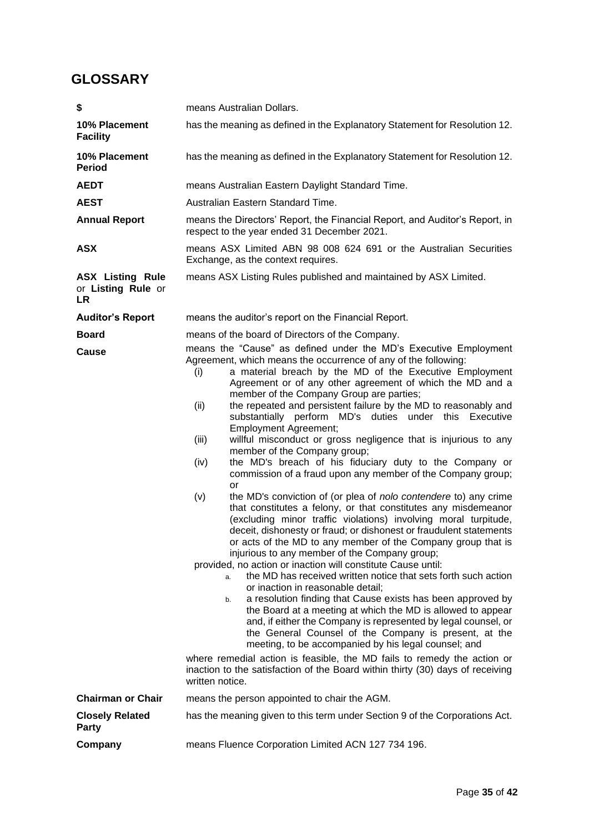# **GLOSSARY**

| \$                                                         | means Australian Dollars.                                                                                                                                                                                                                                                                                                                                                                                                                                                                                                                                                                                                                                                                                                                                                                                                                                                                                                                                                                                                                                                                                                                                                                                                                                                                                                                                                                                                                                                                                                                                                                                                                                                                                                                                                                                                         |  |  |  |  |  |
|------------------------------------------------------------|-----------------------------------------------------------------------------------------------------------------------------------------------------------------------------------------------------------------------------------------------------------------------------------------------------------------------------------------------------------------------------------------------------------------------------------------------------------------------------------------------------------------------------------------------------------------------------------------------------------------------------------------------------------------------------------------------------------------------------------------------------------------------------------------------------------------------------------------------------------------------------------------------------------------------------------------------------------------------------------------------------------------------------------------------------------------------------------------------------------------------------------------------------------------------------------------------------------------------------------------------------------------------------------------------------------------------------------------------------------------------------------------------------------------------------------------------------------------------------------------------------------------------------------------------------------------------------------------------------------------------------------------------------------------------------------------------------------------------------------------------------------------------------------------------------------------------------------|--|--|--|--|--|
| 10% Placement<br><b>Facility</b>                           | has the meaning as defined in the Explanatory Statement for Resolution 12.                                                                                                                                                                                                                                                                                                                                                                                                                                                                                                                                                                                                                                                                                                                                                                                                                                                                                                                                                                                                                                                                                                                                                                                                                                                                                                                                                                                                                                                                                                                                                                                                                                                                                                                                                        |  |  |  |  |  |
| 10% Placement<br><b>Period</b>                             | has the meaning as defined in the Explanatory Statement for Resolution 12.                                                                                                                                                                                                                                                                                                                                                                                                                                                                                                                                                                                                                                                                                                                                                                                                                                                                                                                                                                                                                                                                                                                                                                                                                                                                                                                                                                                                                                                                                                                                                                                                                                                                                                                                                        |  |  |  |  |  |
| <b>AEDT</b>                                                | means Australian Eastern Daylight Standard Time.                                                                                                                                                                                                                                                                                                                                                                                                                                                                                                                                                                                                                                                                                                                                                                                                                                                                                                                                                                                                                                                                                                                                                                                                                                                                                                                                                                                                                                                                                                                                                                                                                                                                                                                                                                                  |  |  |  |  |  |
| <b>AEST</b>                                                | Australian Eastern Standard Time.                                                                                                                                                                                                                                                                                                                                                                                                                                                                                                                                                                                                                                                                                                                                                                                                                                                                                                                                                                                                                                                                                                                                                                                                                                                                                                                                                                                                                                                                                                                                                                                                                                                                                                                                                                                                 |  |  |  |  |  |
| <b>Annual Report</b>                                       | means the Directors' Report, the Financial Report, and Auditor's Report, in<br>respect to the year ended 31 December 2021.                                                                                                                                                                                                                                                                                                                                                                                                                                                                                                                                                                                                                                                                                                                                                                                                                                                                                                                                                                                                                                                                                                                                                                                                                                                                                                                                                                                                                                                                                                                                                                                                                                                                                                        |  |  |  |  |  |
| <b>ASX</b>                                                 | means ASX Limited ABN 98 008 624 691 or the Australian Securities<br>Exchange, as the context requires.                                                                                                                                                                                                                                                                                                                                                                                                                                                                                                                                                                                                                                                                                                                                                                                                                                                                                                                                                                                                                                                                                                                                                                                                                                                                                                                                                                                                                                                                                                                                                                                                                                                                                                                           |  |  |  |  |  |
| <b>ASX Listing Rule</b><br>or Listing Rule or<br><b>LR</b> | means ASX Listing Rules published and maintained by ASX Limited.                                                                                                                                                                                                                                                                                                                                                                                                                                                                                                                                                                                                                                                                                                                                                                                                                                                                                                                                                                                                                                                                                                                                                                                                                                                                                                                                                                                                                                                                                                                                                                                                                                                                                                                                                                  |  |  |  |  |  |
| <b>Auditor's Report</b>                                    | means the auditor's report on the Financial Report.                                                                                                                                                                                                                                                                                                                                                                                                                                                                                                                                                                                                                                                                                                                                                                                                                                                                                                                                                                                                                                                                                                                                                                                                                                                                                                                                                                                                                                                                                                                                                                                                                                                                                                                                                                               |  |  |  |  |  |
| <b>Board</b>                                               | means of the board of Directors of the Company.                                                                                                                                                                                                                                                                                                                                                                                                                                                                                                                                                                                                                                                                                                                                                                                                                                                                                                                                                                                                                                                                                                                                                                                                                                                                                                                                                                                                                                                                                                                                                                                                                                                                                                                                                                                   |  |  |  |  |  |
| Cause                                                      | means the "Cause" as defined under the MD's Executive Employment<br>Agreement, which means the occurrence of any of the following:<br>a material breach by the MD of the Executive Employment<br>(i)<br>Agreement or of any other agreement of which the MD and a<br>member of the Company Group are parties;<br>the repeated and persistent failure by the MD to reasonably and<br>(ii)<br>substantially perform MD's duties under this Executive<br><b>Employment Agreement;</b><br>willful misconduct or gross negligence that is injurious to any<br>(iii)<br>member of the Company group;<br>the MD's breach of his fiduciary duty to the Company or<br>(iv)<br>commission of a fraud upon any member of the Company group;<br>or<br>the MD's conviction of (or plea of nolo contendere to) any crime<br>(v)<br>that constitutes a felony, or that constitutes any misdemeanor<br>(excluding minor traffic violations) involving moral turpitude,<br>deceit, dishonesty or fraud; or dishonest or fraudulent statements<br>or acts of the MD to any member of the Company group that is<br>injurious to any member of the Company group;<br>provided, no action or inaction will constitute Cause until:<br>the MD has received written notice that sets forth such action<br>a.<br>or inaction in reasonable detail;<br>a resolution finding that Cause exists has been approved by<br>b.<br>the Board at a meeting at which the MD is allowed to appear<br>and, if either the Company is represented by legal counsel, or<br>the General Counsel of the Company is present, at the<br>meeting, to be accompanied by his legal counsel; and<br>where remedial action is feasible, the MD fails to remedy the action or<br>inaction to the satisfaction of the Board within thirty (30) days of receiving<br>written notice. |  |  |  |  |  |
| <b>Chairman or Chair</b>                                   | means the person appointed to chair the AGM.                                                                                                                                                                                                                                                                                                                                                                                                                                                                                                                                                                                                                                                                                                                                                                                                                                                                                                                                                                                                                                                                                                                                                                                                                                                                                                                                                                                                                                                                                                                                                                                                                                                                                                                                                                                      |  |  |  |  |  |
| <b>Closely Related</b><br><b>Party</b>                     | has the meaning given to this term under Section 9 of the Corporations Act.                                                                                                                                                                                                                                                                                                                                                                                                                                                                                                                                                                                                                                                                                                                                                                                                                                                                                                                                                                                                                                                                                                                                                                                                                                                                                                                                                                                                                                                                                                                                                                                                                                                                                                                                                       |  |  |  |  |  |
| Company                                                    | means Fluence Corporation Limited ACN 127 734 196.                                                                                                                                                                                                                                                                                                                                                                                                                                                                                                                                                                                                                                                                                                                                                                                                                                                                                                                                                                                                                                                                                                                                                                                                                                                                                                                                                                                                                                                                                                                                                                                                                                                                                                                                                                                |  |  |  |  |  |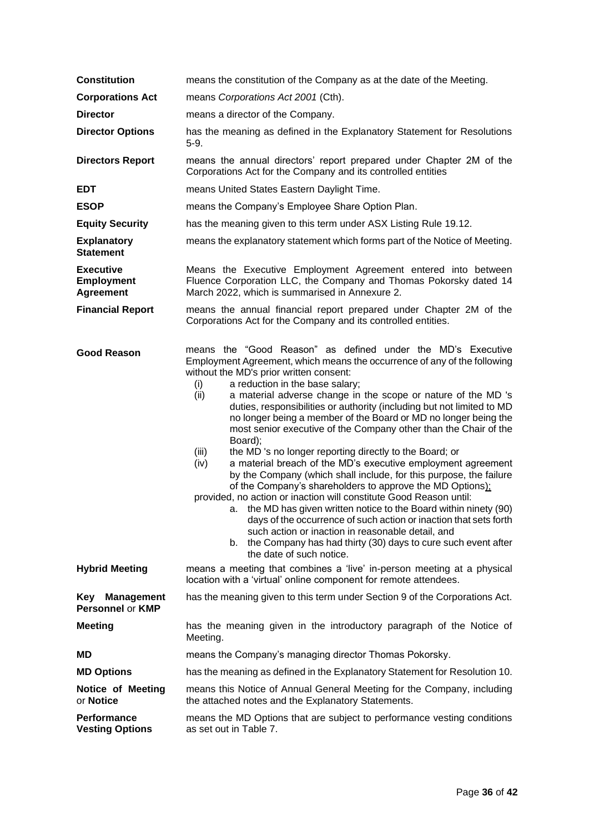| <b>Constitution</b>                                       | means the constitution of the Company as at the date of the Meeting.                                                                                                                                                                                                                                                                                                                                                                                                                                                                                                                                                                                                                                                                                                                                                                                                                                                                                                                                                                                                                                                                                                                   |  |  |  |  |  |
|-----------------------------------------------------------|----------------------------------------------------------------------------------------------------------------------------------------------------------------------------------------------------------------------------------------------------------------------------------------------------------------------------------------------------------------------------------------------------------------------------------------------------------------------------------------------------------------------------------------------------------------------------------------------------------------------------------------------------------------------------------------------------------------------------------------------------------------------------------------------------------------------------------------------------------------------------------------------------------------------------------------------------------------------------------------------------------------------------------------------------------------------------------------------------------------------------------------------------------------------------------------|--|--|--|--|--|
| <b>Corporations Act</b>                                   | means Corporations Act 2001 (Cth).                                                                                                                                                                                                                                                                                                                                                                                                                                                                                                                                                                                                                                                                                                                                                                                                                                                                                                                                                                                                                                                                                                                                                     |  |  |  |  |  |
| <b>Director</b>                                           | means a director of the Company.                                                                                                                                                                                                                                                                                                                                                                                                                                                                                                                                                                                                                                                                                                                                                                                                                                                                                                                                                                                                                                                                                                                                                       |  |  |  |  |  |
| <b>Director Options</b>                                   | has the meaning as defined in the Explanatory Statement for Resolutions<br>$5-9.$                                                                                                                                                                                                                                                                                                                                                                                                                                                                                                                                                                                                                                                                                                                                                                                                                                                                                                                                                                                                                                                                                                      |  |  |  |  |  |
| <b>Directors Report</b>                                   | means the annual directors' report prepared under Chapter 2M of the<br>Corporations Act for the Company and its controlled entities                                                                                                                                                                                                                                                                                                                                                                                                                                                                                                                                                                                                                                                                                                                                                                                                                                                                                                                                                                                                                                                    |  |  |  |  |  |
| <b>EDT</b>                                                | means United States Eastern Daylight Time.                                                                                                                                                                                                                                                                                                                                                                                                                                                                                                                                                                                                                                                                                                                                                                                                                                                                                                                                                                                                                                                                                                                                             |  |  |  |  |  |
| <b>ESOP</b>                                               | means the Company's Employee Share Option Plan.                                                                                                                                                                                                                                                                                                                                                                                                                                                                                                                                                                                                                                                                                                                                                                                                                                                                                                                                                                                                                                                                                                                                        |  |  |  |  |  |
| <b>Equity Security</b>                                    | has the meaning given to this term under ASX Listing Rule 19.12.                                                                                                                                                                                                                                                                                                                                                                                                                                                                                                                                                                                                                                                                                                                                                                                                                                                                                                                                                                                                                                                                                                                       |  |  |  |  |  |
| <b>Explanatory</b><br><b>Statement</b>                    | means the explanatory statement which forms part of the Notice of Meeting.                                                                                                                                                                                                                                                                                                                                                                                                                                                                                                                                                                                                                                                                                                                                                                                                                                                                                                                                                                                                                                                                                                             |  |  |  |  |  |
| <b>Executive</b><br><b>Employment</b><br><b>Agreement</b> | Means the Executive Employment Agreement entered into between<br>Fluence Corporation LLC, the Company and Thomas Pokorsky dated 14<br>March 2022, which is summarised in Annexure 2.                                                                                                                                                                                                                                                                                                                                                                                                                                                                                                                                                                                                                                                                                                                                                                                                                                                                                                                                                                                                   |  |  |  |  |  |
| <b>Financial Report</b>                                   | means the annual financial report prepared under Chapter 2M of the<br>Corporations Act for the Company and its controlled entities.                                                                                                                                                                                                                                                                                                                                                                                                                                                                                                                                                                                                                                                                                                                                                                                                                                                                                                                                                                                                                                                    |  |  |  |  |  |
| <b>Good Reason</b>                                        | means the "Good Reason" as defined under the MD's Executive<br>Employment Agreement, which means the occurrence of any of the following<br>without the MD's prior written consent:<br>a reduction in the base salary;<br>(i)<br>a material adverse change in the scope or nature of the MD 's<br>(ii)<br>duties, responsibilities or authority (including but not limited to MD<br>no longer being a member of the Board or MD no longer being the<br>most senior executive of the Company other than the Chair of the<br>Board);<br>(iii)<br>the MD 's no longer reporting directly to the Board; or<br>a material breach of the MD's executive employment agreement<br>(iv)<br>by the Company (which shall include, for this purpose, the failure<br>of the Company's shareholders to approve the MD Options):<br>provided, no action or inaction will constitute Good Reason until:<br>a. the MD has given written notice to the Board within ninety (90)<br>days of the occurrence of such action or inaction that sets forth<br>such action or inaction in reasonable detail, and<br>b. the Company has had thirty (30) days to cure such event after<br>the date of such notice. |  |  |  |  |  |
| <b>Hybrid Meeting</b>                                     | means a meeting that combines a 'live' in-person meeting at a physical<br>location with a 'virtual' online component for remote attendees.                                                                                                                                                                                                                                                                                                                                                                                                                                                                                                                                                                                                                                                                                                                                                                                                                                                                                                                                                                                                                                             |  |  |  |  |  |
| Key Management<br>Personnel or KMP                        | has the meaning given to this term under Section 9 of the Corporations Act.                                                                                                                                                                                                                                                                                                                                                                                                                                                                                                                                                                                                                                                                                                                                                                                                                                                                                                                                                                                                                                                                                                            |  |  |  |  |  |
| <b>Meeting</b>                                            | has the meaning given in the introductory paragraph of the Notice of<br>Meeting.                                                                                                                                                                                                                                                                                                                                                                                                                                                                                                                                                                                                                                                                                                                                                                                                                                                                                                                                                                                                                                                                                                       |  |  |  |  |  |
| <b>MD</b>                                                 | means the Company's managing director Thomas Pokorsky.                                                                                                                                                                                                                                                                                                                                                                                                                                                                                                                                                                                                                                                                                                                                                                                                                                                                                                                                                                                                                                                                                                                                 |  |  |  |  |  |
| <b>MD Options</b>                                         | has the meaning as defined in the Explanatory Statement for Resolution 10.                                                                                                                                                                                                                                                                                                                                                                                                                                                                                                                                                                                                                                                                                                                                                                                                                                                                                                                                                                                                                                                                                                             |  |  |  |  |  |
| <b>Notice of Meeting</b><br>or <b>Notice</b>              | means this Notice of Annual General Meeting for the Company, including<br>the attached notes and the Explanatory Statements.                                                                                                                                                                                                                                                                                                                                                                                                                                                                                                                                                                                                                                                                                                                                                                                                                                                                                                                                                                                                                                                           |  |  |  |  |  |
| <b>Performance</b><br><b>Vesting Options</b>              | means the MD Options that are subject to performance vesting conditions<br>as set out in Table 7.                                                                                                                                                                                                                                                                                                                                                                                                                                                                                                                                                                                                                                                                                                                                                                                                                                                                                                                                                                                                                                                                                      |  |  |  |  |  |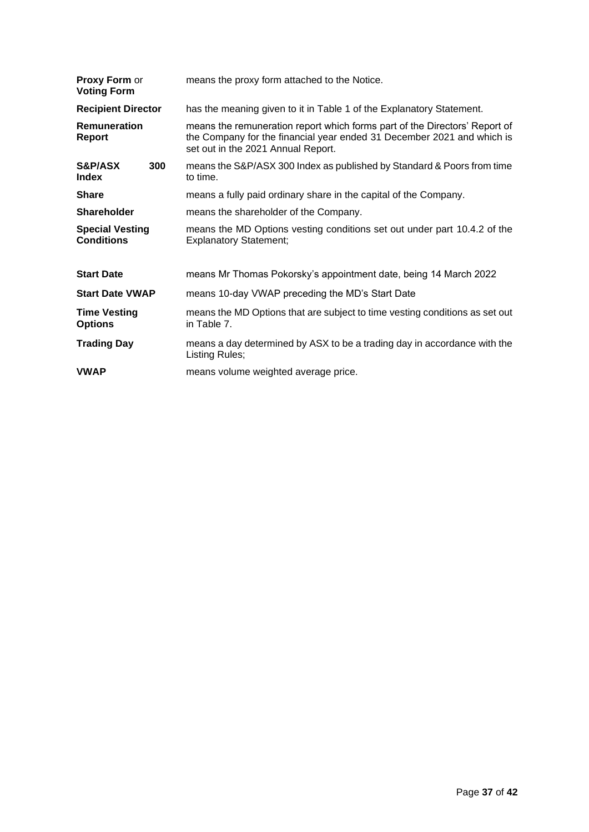| <b>Proxy Form or</b><br><b>Voting Form</b>                                                                                      | means the proxy form attached to the Notice.                                                                                                                                               |  |  |  |  |  |
|---------------------------------------------------------------------------------------------------------------------------------|--------------------------------------------------------------------------------------------------------------------------------------------------------------------------------------------|--|--|--|--|--|
| <b>Recipient Director</b>                                                                                                       | has the meaning given to it in Table 1 of the Explanatory Statement.                                                                                                                       |  |  |  |  |  |
| <b>Remuneration</b><br>Report                                                                                                   | means the remuneration report which forms part of the Directors' Report of<br>the Company for the financial year ended 31 December 2021 and which is<br>set out in the 2021 Annual Report. |  |  |  |  |  |
| <b>S&amp;P/ASX</b><br>300<br>means the S&P/ASX 300 Index as published by Standard & Poors from time<br>to time.<br><b>Index</b> |                                                                                                                                                                                            |  |  |  |  |  |
| <b>Share</b>                                                                                                                    | means a fully paid ordinary share in the capital of the Company.                                                                                                                           |  |  |  |  |  |
| <b>Shareholder</b>                                                                                                              | means the shareholder of the Company.                                                                                                                                                      |  |  |  |  |  |
| <b>Special Vesting</b><br><b>Conditions</b>                                                                                     | means the MD Options vesting conditions set out under part 10.4.2 of the<br><b>Explanatory Statement;</b>                                                                                  |  |  |  |  |  |
| <b>Start Date</b>                                                                                                               | means Mr Thomas Pokorsky's appointment date, being 14 March 2022                                                                                                                           |  |  |  |  |  |
| <b>Start Date VWAP</b>                                                                                                          | means 10-day VWAP preceding the MD's Start Date                                                                                                                                            |  |  |  |  |  |
| <b>Time Vesting</b><br><b>Options</b>                                                                                           | means the MD Options that are subject to time vesting conditions as set out<br>in Table 7.                                                                                                 |  |  |  |  |  |
| <b>Trading Day</b>                                                                                                              | means a day determined by ASX to be a trading day in accordance with the<br>Listing Rules;                                                                                                 |  |  |  |  |  |
| <b>VWAP</b>                                                                                                                     | means volume weighted average price.                                                                                                                                                       |  |  |  |  |  |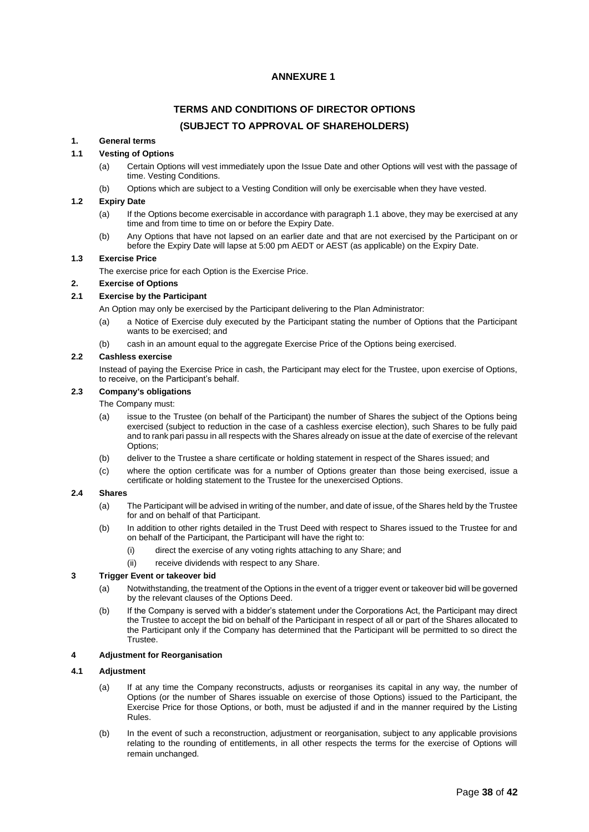#### **ANNEXURE 1**

### **TERMS AND CONDITIONS OF DIRECTOR OPTIONS (SUBJECT TO APPROVAL OF SHAREHOLDERS)**

#### **1. General terms**

#### **1.1 Vesting of Options**

- (a) Certain Options will vest immediately upon the Issue Date and other Options will vest with the passage of time. Vesting Conditions.
- (b) Options which are subject to a Vesting Condition will only be exercisable when they have vested.

#### **1.2 Expiry Date**

- (a) If the Options become exercisable in accordance with paragraph 1.1 above, they may be exercised at any time and from time to time on or before the Expiry Date.
- (b) Any Options that have not lapsed on an earlier date and that are not exercised by the Participant on or before the Expiry Date will lapse at 5:00 pm AEDT or AEST (as applicable) on the Expiry Date.

#### **1.3 Exercise Price**

The exercise price for each Option is the Exercise Price.

#### **2. Exercise of Options**

#### **2.1 Exercise by the Participant**

- An Option may only be exercised by the Participant delivering to the Plan Administrator:
- (a) a Notice of Exercise duly executed by the Participant stating the number of Options that the Participant wants to be exercised; and
- (b) cash in an amount equal to the aggregate Exercise Price of the Options being exercised.

#### **2.2 Cashless exercise**

Instead of paying the Exercise Price in cash, the Participant may elect for the Trustee, upon exercise of Options, to receive, on the Participant's behalf.

#### **2.3 Company's obligations**

The Company must:

- (a) issue to the Trustee (on behalf of the Participant) the number of Shares the subject of the Options being exercised (subject to reduction in the case of a cashless exercise election), such Shares to be fully paid and to rank pari passu in all respects with the Shares already on issue at the date of exercise of the relevant Options;
- (b) deliver to the Trustee a share certificate or holding statement in respect of the Shares issued; and
- (c) where the option certificate was for a number of Options greater than those being exercised, issue a certificate or holding statement to the Trustee for the unexercised Options.

#### **2.4 Shares**

- (a) The Participant will be advised in writing of the number, and date of issue, of the Shares held by the Trustee for and on behalf of that Participant.
- (b) In addition to other rights detailed in the Trust Deed with respect to Shares issued to the Trustee for and on behalf of the Participant, the Participant will have the right to:
	- (i) direct the exercise of any voting rights attaching to any Share; and
	- (ii) receive dividends with respect to any Share.

#### **3 Trigger Event or takeover bid**

- (a) Notwithstanding, the treatment of the Options in the event of a trigger event or takeover bid will be governed by the relevant clauses of the Options Deed.
- (b) If the Company is served with a bidder's statement under the Corporations Act, the Participant may direct the Trustee to accept the bid on behalf of the Participant in respect of all or part of the Shares allocated to the Participant only if the Company has determined that the Participant will be permitted to so direct the Trustee.

#### **4 Adjustment for Reorganisation**

#### **4.1 Adjustment**

- (a) If at any time the Company reconstructs, adjusts or reorganises its capital in any way, the number of Options (or the number of Shares issuable on exercise of those Options) issued to the Participant, the Exercise Price for those Options, or both, must be adjusted if and in the manner required by the Listing Rules.
- (b) In the event of such a reconstruction, adjustment or reorganisation, subject to any applicable provisions relating to the rounding of entitlements, in all other respects the terms for the exercise of Options will remain unchanged.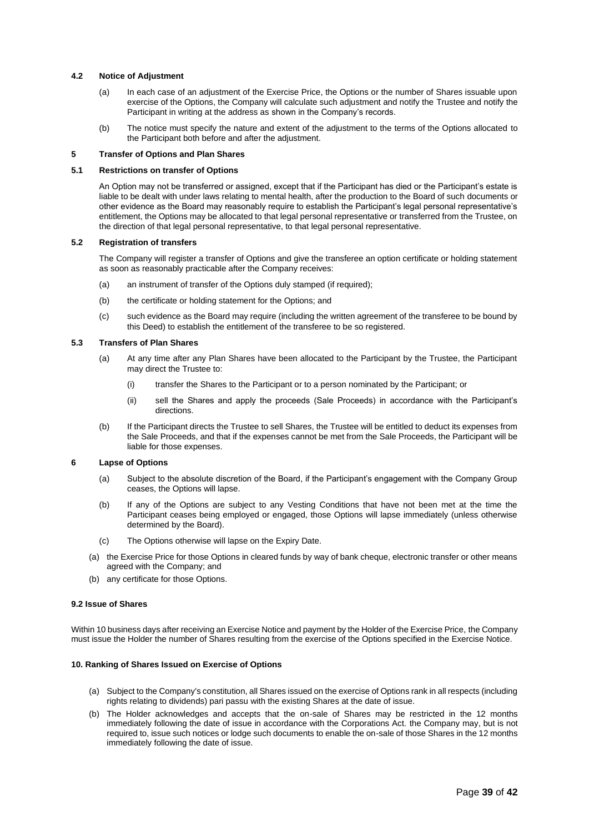#### **4.2 Notice of Adjustment**

- (a) In each case of an adjustment of the Exercise Price, the Options or the number of Shares issuable upon exercise of the Options, the Company will calculate such adjustment and notify the Trustee and notify the Participant in writing at the address as shown in the Company's records.
- (b) The notice must specify the nature and extent of the adjustment to the terms of the Options allocated to the Participant both before and after the adjustment.

#### **5 Transfer of Options and Plan Shares**

#### **5.1 Restrictions on transfer of Options**

An Option may not be transferred or assigned, except that if the Participant has died or the Participant's estate is liable to be dealt with under laws relating to mental health, after the production to the Board of such documents or other evidence as the Board may reasonably require to establish the Participant's legal personal representative's entitlement, the Options may be allocated to that legal personal representative or transferred from the Trustee, on the direction of that legal personal representative, to that legal personal representative.

#### **5.2 Registration of transfers**

The Company will register a transfer of Options and give the transferee an option certificate or holding statement as soon as reasonably practicable after the Company receives:

- (a) an instrument of transfer of the Options duly stamped (if required);
- (b) the certificate or holding statement for the Options; and
- (c) such evidence as the Board may require (including the written agreement of the transferee to be bound by this Deed) to establish the entitlement of the transferee to be so registered.

#### **5.3 Transfers of Plan Shares**

- (a) At any time after any Plan Shares have been allocated to the Participant by the Trustee, the Participant may direct the Trustee to:
	- (i) transfer the Shares to the Participant or to a person nominated by the Participant; or
	- (ii) sell the Shares and apply the proceeds (Sale Proceeds) in accordance with the Participant's directions.
- (b) If the Participant directs the Trustee to sell Shares, the Trustee will be entitled to deduct its expenses from the Sale Proceeds, and that if the expenses cannot be met from the Sale Proceeds, the Participant will be liable for those expenses.

#### **6 Lapse of Options**

- (a) Subject to the absolute discretion of the Board, if the Participant's engagement with the Company Group ceases, the Options will lapse.
- (b) If any of the Options are subject to any Vesting Conditions that have not been met at the time the Participant ceases being employed or engaged, those Options will lapse immediately (unless otherwise determined by the Board).
- (c) The Options otherwise will lapse on the Expiry Date.
- (a) the Exercise Price for those Options in cleared funds by way of bank cheque, electronic transfer or other means agreed with the Company; and
- (b) any certificate for those Options.

#### **9.2 Issue of Shares**

Within 10 business days after receiving an Exercise Notice and payment by the Holder of the Exercise Price, the Company must issue the Holder the number of Shares resulting from the exercise of the Options specified in the Exercise Notice.

#### **10. Ranking of Shares Issued on Exercise of Options**

- (a) Subject to the Company's constitution, all Shares issued on the exercise of Options rank in all respects (including rights relating to dividends) pari passu with the existing Shares at the date of issue.
- (b) The Holder acknowledges and accepts that the on-sale of Shares may be restricted in the 12 months immediately following the date of issue in accordance with the Corporations Act. the Company may, but is not required to, issue such notices or lodge such documents to enable the on-sale of those Shares in the 12 months immediately following the date of issue.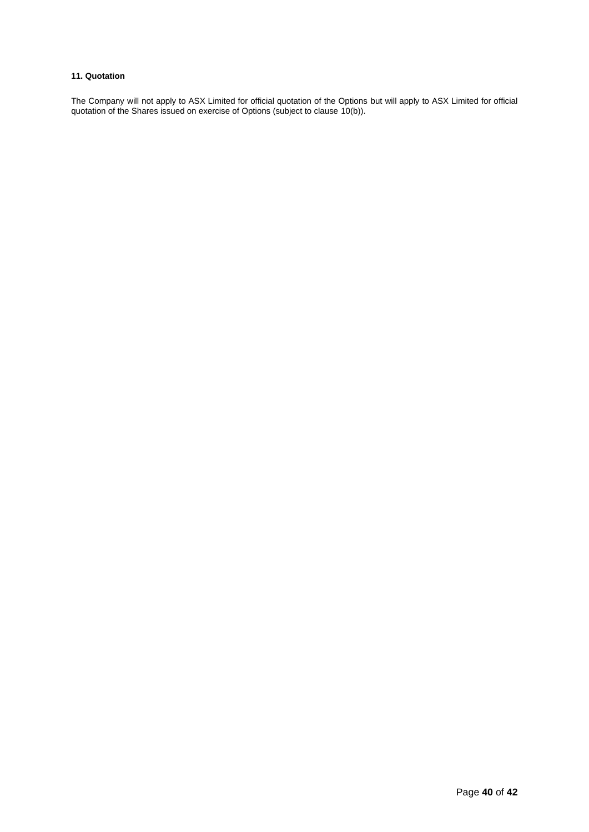#### **11. Quotation**

The Company will not apply to ASX Limited for official quotation of the Options but will apply to ASX Limited for official quotation of the Shares issued on exercise of Options (subject to clause 10(b)).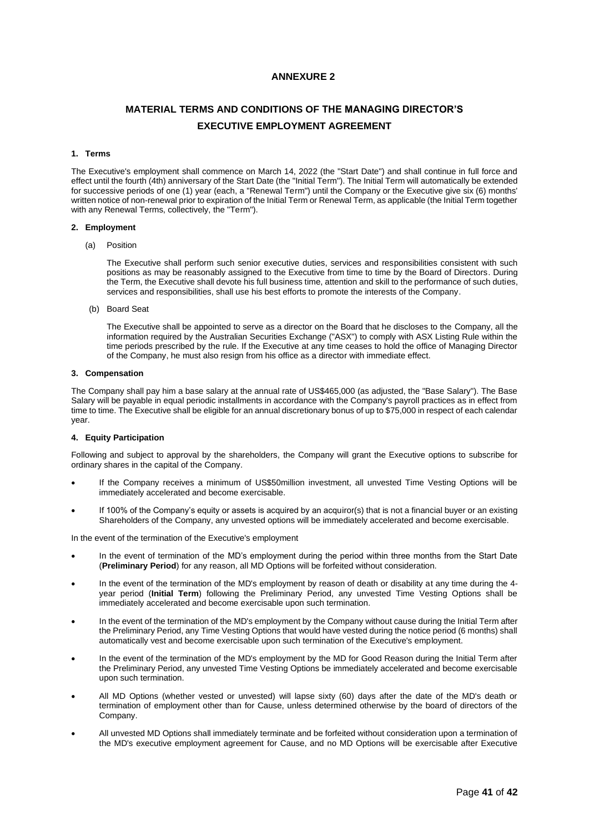#### **ANNEXURE 2**

### **MATERIAL TERMS AND CONDITIONS OF THE MANAGING DIRECTOR'S EXECUTIVE EMPLOYMENT AGREEMENT**

#### **1. Terms**

The Executive's employment shall commence on March 14, 2022 (the "Start Date") and shall continue in full force and effect until the fourth (4th) anniversary of the Start Date (the "Initial Term"). The Initial Term will automatically be extended for successive periods of one (1) year (each, a "Renewal Term") until the Company or the Executive give six (6) months' written notice of non-renewal prior to expiration of the Initial Term or Renewal Term, as applicable (the Initial Term together with any Renewal Terms, collectively, the "Term").

#### **2. Employment**

(a) Position

The Executive shall perform such senior executive duties, services and responsibilities consistent with such positions as may be reasonably assigned to the Executive from time to time by the Board of Directors. During the Term, the Executive shall devote his full business time, attention and skill to the performance of such duties, services and responsibilities, shall use his best efforts to promote the interests of the Company.

(b) Board Seat

The Executive shall be appointed to serve as a director on the Board that he discloses to the Company, all the information required by the Australian Securities Exchange ("ASX") to comply with ASX Listing Rule within the time periods prescribed by the rule. If the Executive at any time ceases to hold the office of Managing Director of the Company, he must also resign from his office as a director with immediate effect.

#### **3. Compensation**

The Company shall pay him a base salary at the annual rate of US\$465,000 (as adjusted, the "Base Salary"). The Base Salary will be payable in equal periodic installments in accordance with the Company's payroll practices as in effect from time to time. The Executive shall be eligible for an annual discretionary bonus of up to \$75,000 in respect of each calendar year.

#### **4. Equity Participation**

Following and subject to approval by the shareholders, the Company will grant the Executive options to subscribe for ordinary shares in the capital of the Company.

- If the Company receives a minimum of US\$50million investment, all unvested Time Vesting Options will be immediately accelerated and become exercisable.
- If 100% of the Company's equity or assets is acquired by an acquiror(s) that is not a financial buyer or an existing Shareholders of the Company, any unvested options will be immediately accelerated and become exercisable.

In the event of the termination of the Executive's employment

- In the event of termination of the MD's employment during the period within three months from the Start Date (**Preliminary Period**) for any reason, all MD Options will be forfeited without consideration.
- In the event of the termination of the MD's employment by reason of death or disability at any time during the 4 year period (**Initial Term**) following the Preliminary Period, any unvested Time Vesting Options shall be immediately accelerated and become exercisable upon such termination.
- In the event of the termination of the MD's employment by the Company without cause during the Initial Term after the Preliminary Period, any Time Vesting Options that would have vested during the notice period (6 months) shall automatically vest and become exercisable upon such termination of the Executive's employment.
- In the event of the termination of the MD's employment by the MD for Good Reason during the Initial Term after the Preliminary Period, any unvested Time Vesting Options be immediately accelerated and become exercisable upon such termination.
- All MD Options (whether vested or unvested) will lapse sixty (60) days after the date of the MD's death or termination of employment other than for Cause, unless determined otherwise by the board of directors of the Company.
- All unvested MD Options shall immediately terminate and be forfeited without consideration upon a termination of the MD's executive employment agreement for Cause, and no MD Options will be exercisable after Executive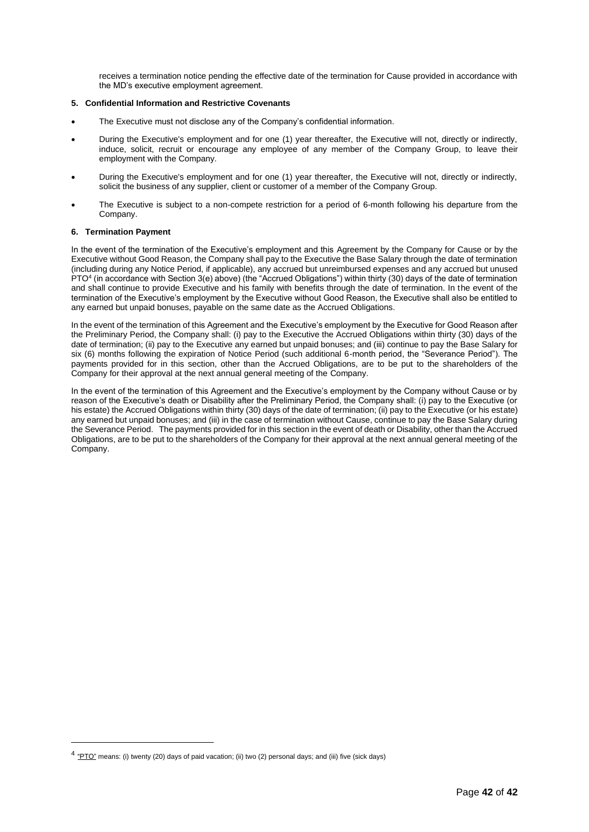receives a termination notice pending the effective date of the termination for Cause provided in accordance with the MD's executive employment agreement.

#### **5. Confidential Information and Restrictive Covenants**

- The Executive must not disclose any of the Company's confidential information.
- During the Executive's employment and for one (1) year thereafter, the Executive will not, directly or indirectly, induce, solicit, recruit or encourage any employee of any member of the Company Group, to leave their employment with the Company.
- During the Executive's employment and for one (1) year thereafter, the Executive will not, directly or indirectly, solicit the business of any supplier, client or customer of a member of the Company Group.
- The Executive is subject to a non-compete restriction for a period of 6-month following his departure from the Company.

#### **6. Termination Payment**

In the event of the termination of the Executive's employment and this Agreement by the Company for Cause or by the Executive without Good Reason, the Company shall pay to the Executive the Base Salary through the date of termination (including during any Notice Period, if applicable), any accrued but unreimbursed expenses and any accrued but unused PTO<sup>4</sup> (in accordance with Section 3(e) above) (the "Accrued Obligations") within thirty (30) days of the date of termination and shall continue to provide Executive and his family with benefits through the date of termination. In the event of the termination of the Executive's employment by the Executive without Good Reason, the Executive shall also be entitled to any earned but unpaid bonuses, payable on the same date as the Accrued Obligations.

In the event of the termination of this Agreement and the Executive's employment by the Executive for Good Reason after the Preliminary Period, the Company shall: (i) pay to the Executive the Accrued Obligations within thirty (30) days of the date of termination; (ii) pay to the Executive any earned but unpaid bonuses; and (iii) continue to pay the Base Salary for six (6) months following the expiration of Notice Period (such additional 6-month period, the "Severance Period"). The payments provided for in this section, other than the Accrued Obligations, are to be put to the shareholders of the Company for their approval at the next annual general meeting of the Company.

In the event of the termination of this Agreement and the Executive's employment by the Company without Cause or by reason of the Executive's death or Disability after the Preliminary Period, the Company shall: (i) pay to the Executive (or his estate) the Accrued Obligations within thirty (30) days of the date of termination; (ii) pay to the Executive (or his estate) any earned but unpaid bonuses; and (iii) in the case of termination without Cause, continue to pay the Base Salary during the Severance Period. The payments provided for in this section in the event of death or Disability, other than the Accrued Obligations, are to be put to the shareholders of the Company for their approval at the next annual general meeting of the Company.

<sup>&</sup>lt;sup>4</sup> "PTO" means: (i) twenty (20) days of paid vacation; (ii) two (2) personal days; and (iii) five (sick days)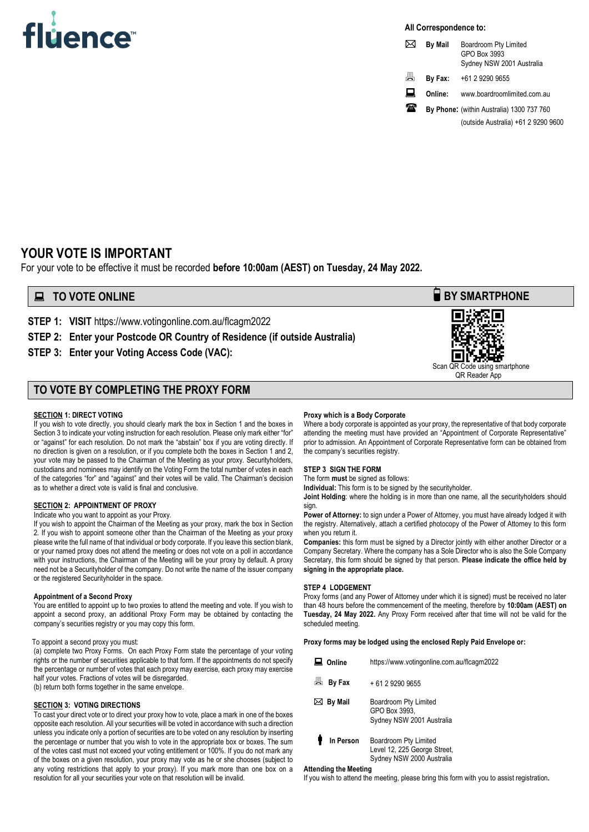

#### **All Correspondence to:**

|   | <b>By Mail</b> | Boardroom Pty Limited<br>GPO Box 3993<br>Sydney NSW 2001 Australia |
|---|----------------|--------------------------------------------------------------------|
| 昌 | By Fax:        | +61 2 9290 9655                                                    |
| Д | Online:        | www.boardroomlimited.com.au                                        |
| Ж |                | By Phone: (within Australia) 1300 737 760                          |
|   |                | (outside Australia) +61 2 9290 9600                                |

### **YOUR VOTE IS IMPORTANT**

For your vote to be effective it must be recorded **before 10:00am (AEST) on Tuesday, 24 May 2022.** 

### **EXECUTE ONLINE BY SMARTPHONE**

**STEP 1: VISIT** https://www.votingonline.com.au/flcagm2022

#### **STEP 2: Enter your Postcode OR Country of Residence (if outside Australia)**

**STEP 3: Enter your Voting Access Code (VAC):**

 Scan QR Code using smartphone QR Reader App

### **TO VOTE BY COMPLETING THE PROXY FORM**

#### **SECTION 1: DIRECT VOTING**

If you wish to vote directly, you should clearly mark the box in Section 1 and the boxes in Section 3 to indicate your voting instruction for each resolution. Please only mark either "for" or "against" for each resolution. Do not mark the "abstain" box if you are voting directly. If no direction is given on a resolution, or if you complete both the boxes in Section 1 and 2, your vote may be passed to the Chairman of the Meeting as your proxy. Securityholders, custodians and nominees may identify on the Voting Form the total number of votes in each of the categories "for" and "against" and their votes will be valid. The Chairman's decision as to whether a direct vote is valid is final and conclusive.

#### **SECTION 2: APPOINTMENT OF PROXY**

Indicate who you want to appoint as your Proxy.

If you wish to appoint the Chairman of the Meeting as your proxy, mark the box in Section 2. If you wish to appoint someone other than the Chairman of the Meeting as your proxy please write the full name of that individual or body corporate. If you leave this section blank, or your named proxy does not attend the meeting or does not vote on a poll in accordance with your instructions, the Chairman of the Meeting will be your proxy by default. A proxy need not be a Securityholder of the company. Do not write the name of the issuer company or the registered Securityholder in the space.

#### **Appointment of a Second Proxy**

You are entitled to appoint up to two proxies to attend the meeting and vote. If you wish to appoint a second proxy, an additional Proxy Form may be obtained by contacting the company's securities registry or you may copy this form.

#### To appoint a second proxy you must:

(a) complete two Proxy Forms. On each Proxy Form state the percentage of your voting rights or the number of securities applicable to that form. If the appointments do not specify the percentage or number of votes that each proxy may exercise, each proxy may exercise half your votes. Fractions of votes will be disregarded. (b) return both forms together in the same envelope.

**SECTION 3: VOTING DIRECTIONS** To cast your direct vote or to direct your proxy how to vote, place a mark in one of the boxes opposite each resolution. All your securities will be voted in accordance with such a direction unless you indicate only a portion of securities are to be voted on any resolution by inserting the percentage or number that you wish to vote in the appropriate box or boxes. The sum of the votes cast must not exceed your voting entitlement or 100%. If you do not mark any of the boxes on a given resolution, your proxy may vote as he or she chooses (subject to any voting restrictions that apply to your proxy). If you mark more than one box on a resolution for all your securities your vote on that resolution will be invalid.

#### **Proxy which is a Body Corporate**

Where a body corporate is appointed as your proxy, the representative of that body corporate attending the meeting must have provided an "Appointment of Corporate Representative" prior to admission. An Appointment of Corporate Representative form can be obtained from the company's securities registry.

#### **STEP 3 SIGN THE FORM**

The form **must** be signed as follows:

**Individual:** This form is to be signed by the securityholder.

**Joint Holding**: where the holding is in more than one name, all the securityholders should sign

**Power of Attorney:** to sign under a Power of Attorney, you must have already lodged it with the registry. Alternatively, attach a certified photocopy of the Power of Attorney to this form when you return it.

**Companies:** this form must be signed by a Director jointly with either another Director or a Company Secretary. Where the company has a Sole Director who is also the Sole Company Secretary, this form should be signed by that person. **Please indicate the office held by signing in the appropriate place.**

#### **STEP 4 LODGEMENT**

Proxy forms (and any Power of Attorney under which it is signed) must be received no later than 48 hours before the commencement of the meeting, therefore by **10:00am (AEST) on Tuesday, 24 May 2022.** Any Proxy Form received after that time will not be valid for the scheduled meeting.

**Proxy forms may be lodged using the enclosed Reply Paid Envelope or:**

| Online       | https://www.votingonline.com.au/flcagm2022                                         |  |  |  |  |  |
|--------------|------------------------------------------------------------------------------------|--|--|--|--|--|
| ā<br>By Fax  | + 61 2 9290 9655                                                                   |  |  |  |  |  |
| By Mail<br>⊠ | Boardroom Pty Limited<br>GPO Box 3993,<br>Sydney NSW 2001 Australia                |  |  |  |  |  |
| In Person    | Boardroom Pty Limited<br>Level 12, 225 George Street,<br>Sydney NSW 2000 Australia |  |  |  |  |  |

#### **Attending the Meeting**

If you wish to attend the meeting, please bring this form with you to assist registration**.**